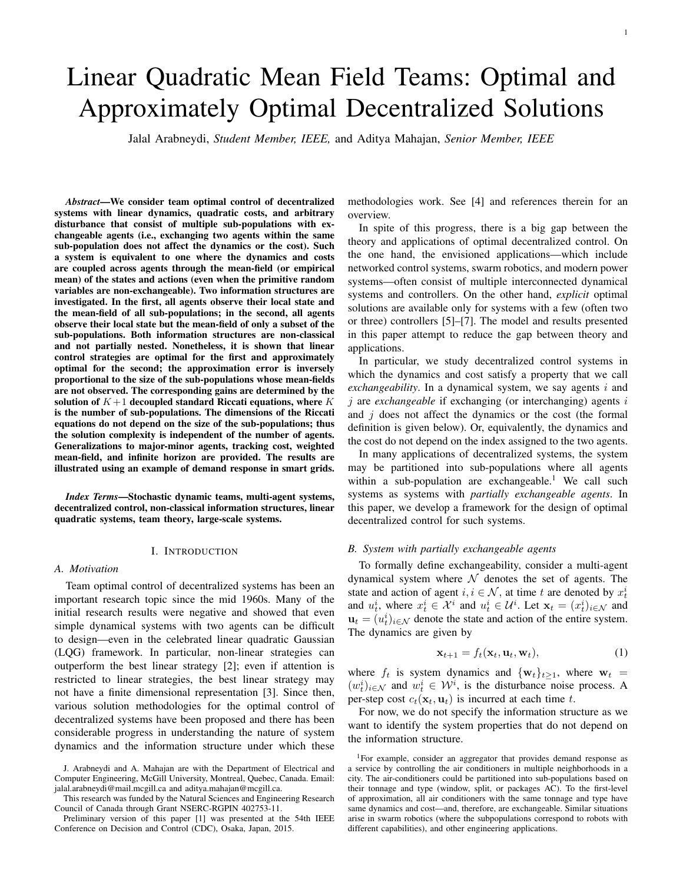# Linear Quadratic Mean Field Teams: Optimal and Approximately Optimal Decentralized Solutions

Jalal Arabneydi, *Student Member, IEEE,* and Aditya Mahajan, *Senior Member, IEEE*

*Abstract*—We consider team optimal control of decentralized systems with linear dynamics, quadratic costs, and arbitrary disturbance that consist of multiple sub-populations with exchangeable agents (i.e., exchanging two agents within the same sub-population does not affect the dynamics or the cost). Such a system is equivalent to one where the dynamics and costs are coupled across agents through the mean-field (or empirical mean) of the states and actions (even when the primitive random variables are non-exchangeable). Two information structures are investigated. In the first, all agents observe their local state and the mean-field of all sub-populations; in the second, all agents observe their local state but the mean-field of only a subset of the sub-populations. Both information structures are non-classical and not partially nested. Nonetheless, it is shown that linear control strategies are optimal for the first and approximately optimal for the second; the approximation error is inversely proportional to the size of the sub-populations whose mean-fields are not observed. The corresponding gains are determined by the solution of  $K+1$  decoupled standard Riccati equations, where K is the number of sub-populations. The dimensions of the Riccati equations do not depend on the size of the sub-populations; thus the solution complexity is independent of the number of agents. Generalizations to major-minor agents, tracking cost, weighted mean-field, and infinite horizon are provided. The results are illustrated using an example of demand response in smart grids.

*Index Terms*—Stochastic dynamic teams, multi-agent systems, decentralized control, non-classical information structures, linear quadratic systems, team theory, large-scale systems.

#### I. INTRODUCTION

# *A. Motivation*

Team optimal control of decentralized systems has been an important research topic since the mid 1960s. Many of the initial research results were negative and showed that even simple dynamical systems with two agents can be difficult to design—even in the celebrated linear quadratic Gaussian (LQG) framework. In particular, non-linear strategies can outperform the best linear strategy [2]; even if attention is restricted to linear strategies, the best linear strategy may not have a finite dimensional representation [3]. Since then, various solution methodologies for the optimal control of decentralized systems have been proposed and there has been considerable progress in understanding the nature of system dynamics and the information structure under which these

methodologies work. See [4] and references therein for an overview.

In spite of this progress, there is a big gap between the theory and applications of optimal decentralized control. On the one hand, the envisioned applications—which include networked control systems, swarm robotics, and modern power systems—often consist of multiple interconnected dynamical systems and controllers. On the other hand, *explicit* optimal solutions are available only for systems with a few (often two or three) controllers [5]–[7]. The model and results presented in this paper attempt to reduce the gap between theory and applications.

In particular, we study decentralized control systems in which the dynamics and cost satisfy a property that we call *exchangeability*. In a dynamical system, we say agents i and j are *exchangeable* if exchanging (or interchanging) agents i and  $j$  does not affect the dynamics or the cost (the formal definition is given below). Or, equivalently, the dynamics and the cost do not depend on the index assigned to the two agents.

In many applications of decentralized systems, the system may be partitioned into sub-populations where all agents within a sub-population are exchangeable.<sup>1</sup> We call such systems as systems with *partially exchangeable agents*. In this paper, we develop a framework for the design of optimal decentralized control for such systems.

#### *B. System with partially exchangeable agents*

To formally define exchangeability, consider a multi-agent dynamical system where  $\mathcal N$  denotes the set of agents. The state and action of agent  $i, i \in \mathcal{N}$ , at time t are denoted by  $x_t^i$ and  $u_t^i$ , where  $x_t^i \in \mathcal{X}^i$  and  $u_t^i \in \mathcal{U}^i$ . Let  $\mathbf{x}_t = (x_t^i)_{i \in \mathcal{N}}$  and  $\mathbf{u}_t = (u_t^i)_{i \in \mathcal{N}}$  denote the state and action of the entire system. The dynamics are given by

$$
\mathbf{x}_{t+1} = f_t(\mathbf{x}_t, \mathbf{u}_t, \mathbf{w}_t),
$$
 (1)

where  $f_t$  is system dynamics and  $\{w_t\}_{t>1}$ , where  $w_t$  =  $(w_t^i)_{i \in \mathcal{N}}$  and  $w_t^i \in \mathcal{W}^i$ , is the disturbance noise process. A per-step cost  $c_t(\mathbf{x}_t, \mathbf{u}_t)$  is incurred at each time t.

For now, we do not specify the information structure as we want to identify the system properties that do not depend on the information structure.

J. Arabneydi and A. Mahajan are with the Department of Electrical and Computer Engineering, McGill University, Montreal, Quebec, Canada. Email: jalal.arabneydi@mail.mcgill.ca and aditya.mahajan@mcgill.ca.

This research was funded by the Natural Sciences and Engineering Research Council of Canada through Grant NSERC-RGPIN 402753-11.

Preliminary version of this paper [1] was presented at the 54th IEEE Conference on Decision and Control (CDC), Osaka, Japan, 2015.

<sup>&</sup>lt;sup>1</sup>For example, consider an aggregator that provides demand response as a service by controlling the air conditioners in multiple neighborhoods in a city. The air-conditioners could be partitioned into sub-populations based on their tonnage and type (window, split, or packages AC). To the first-level of approximation, all air conditioners with the same tonnage and type have same dynamics and cost—and, therefore, are exchangeable. Similar situations arise in swarm robotics (where the subpopulations correspond to robots with different capabilities), and other engineering applications.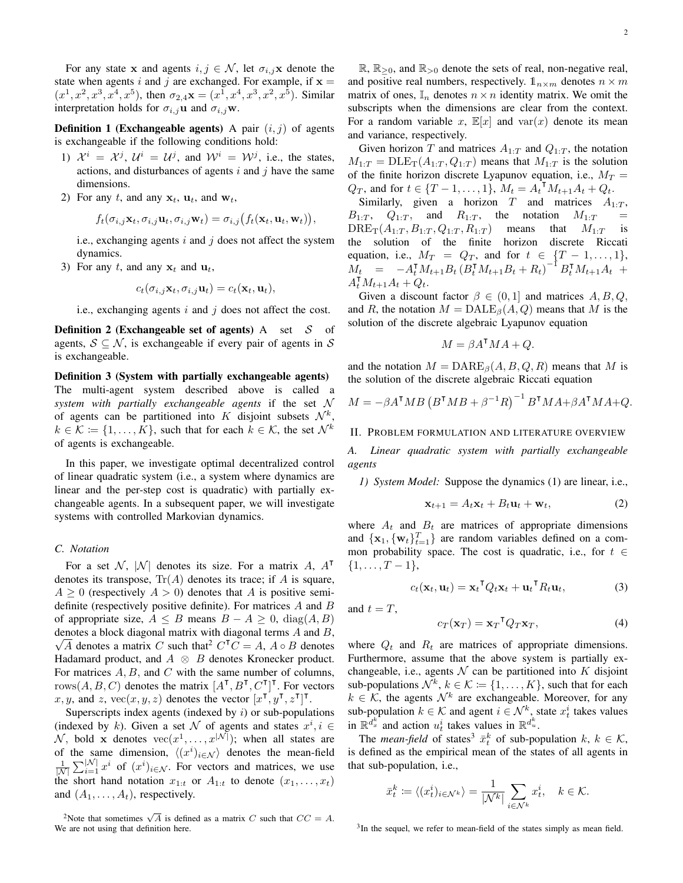For any state x and agents  $i, j \in \mathcal{N}$ , let  $\sigma_{i,j}$ x denote the state when agents i and j are exchanged. For example, if  $x =$  $(x^1, x^2, x^3, x^4, x^5)$ , then  $\sigma_{2,4}$ **x** =  $(x^1, x^4, x^3, x^2, x^5)$ . Similar interpretation holds for  $\sigma_{i,j}$ **u** and  $\sigma_{i,j}$ **w**.

**Definition 1 (Exchangeable agents)** A pair  $(i, j)$  of agents is exchangeable if the following conditions hold:

- 1)  $\mathcal{X}^i = \mathcal{X}^j$ ,  $\mathcal{U}^i = \mathcal{U}^j$ , and  $\mathcal{W}^i = \mathcal{W}^j$ , i.e., the states, actions, and disturbances of agents  $i$  and  $j$  have the same dimensions.
- 2) For any t, and any  $x_t$ ,  $u_t$ , and  $w_t$ ,

$$
f_t(\sigma_{i,j}\mathbf{x}_t,\sigma_{i,j}\mathbf{u}_t,\sigma_{i,j}\mathbf{w}_t)=\sigma_{i,j}(f_t(\mathbf{x}_t,\mathbf{u}_t,\mathbf{w}_t)),
$$

i.e., exchanging agents i and j does not affect the system dynamics.

3) For any t, and any  $x_t$  and  $u_t$ ,

$$
c_t(\sigma_{i,j}\mathbf{x}_t,\sigma_{i,j}\mathbf{u}_t)=c_t(\mathbf{x}_t,\mathbf{u}_t),
$$

i.e., exchanging agents  $i$  and  $j$  does not affect the cost.

**Definition 2 (Exchangeable set of agents)** A set  $S$  of agents,  $S \subseteq \mathcal{N}$ , is exchangeable if every pair of agents in S is exchangeable.

Definition 3 (System with partially exchangeable agents) The multi-agent system described above is called a *system with partially exchangeable agents* if the set N of agents can be partitioned into K disjoint subsets  $\mathcal{N}^k$ ,  $k \in \mathcal{K} \coloneqq \{1, \ldots, K\}$ , such that for each  $k \in \mathcal{K}$ , the set  $\mathcal{N}^k$ of agents is exchangeable.

In this paper, we investigate optimal decentralized control of linear quadratic system (i.e., a system where dynamics are linear and the per-step cost is quadratic) with partially exchangeable agents. In a subsequent paper, we will investigate systems with controlled Markovian dynamics.

#### *C. Notation*

For a set N,  $|N|$  denotes its size. For a matrix A,  $A^{\mathsf{T}}$ denotes its transpose,  $Tr(A)$  denotes its trace; if A is square,  $A \geq 0$  (respectively  $A > 0$ ) denotes that A is positive semidefinite (respectively positive definite). For matrices A and B of appropriate size,  $A \leq B$  means  $B - A \geq 0$ ,  $diag(A, B)$ denotes a block diagonal matrix with diagonal terms  $A$  and  $B$ ,  $\sqrt{A}$  denotes a matrix C such that<sup>2</sup> C<sup>T</sup>C = A, A ∘ B denotes Hadamard product, and  $A \otimes B$  denotes Kronecker product. For matrices  $A, B$ , and  $C$  with the same number of columns, rows $(A, B, C)$  denotes the matrix  $[A^{\mathsf{T}}, B^{\mathsf{T}}, C^{\mathsf{T}}]^{\mathsf{T}}$ . For vectors x, y, and z,  $\text{vec}(x, y, z)$  denotes the vector  $[x^{\mathsf{T}}, y^{\mathsf{T}}, z^{\mathsf{T}}]^{\mathsf{T}}$ .

Superscripts index agents (indexed by  $i$ ) or sub-populations (indexed by k). Given a set N of agents and states  $x^i, i \in$  $\mathcal{N}$ , bold x denotes  $\text{vec}(x^1, \dots, x^{|\mathcal{N}|})$ ; when all states are of the same dimension,  $\langle (x^i)_{i \in \mathcal{N}} \rangle$  denotes the mean-field  $\frac{1}{|N|} \sum_{i=1}^{|N|} x^i$  of  $(x^i)_{i \in \mathcal{N}}$ . For vectors and matrices, we use the short hand notation  $x_{1:t}$  or  $A_{1:t}$  to denote  $(x_1, \ldots, x_t)$ and  $(A_1, \ldots, A_t)$ , respectively.

<sup>2</sup>Note that sometimes  $\sqrt{A}$  is defined as a matrix C such that  $CC = A$ . We are not using that definition here.

 $\mathbb{R}, \mathbb{R}_{\geq 0}$ , and  $\mathbb{R}_{\geq 0}$  denote the sets of real, non-negative real, and positive real numbers, respectively.  $\mathbb{1}_{n\times m}$  denotes  $n \times m$ matrix of ones,  $\mathbb{I}_n$  denotes  $n \times n$  identity matrix. We omit the subscripts when the dimensions are clear from the context. For a random variable x,  $\mathbb{E}[x]$  and var $(x)$  denote its mean and variance, respectively.

Given horizon T and matrices  $A_{1:T}$  and  $Q_{1:T}$ , the notation  $M_{1:T} = \text{DLE}_{\text{T}}(A_{1:T}, Q_{1:T})$  means that  $M_{1:T}$  is the solution of the finite horizon discrete Lyapunov equation, i.e.,  $M_T =$  $Q_T$ , and for  $t \in \{T-1, \ldots, 1\}$ ,  $M_t = A_t^{\mathsf{T}} M_{t+1} A_t + Q_t$ .

Similarly, given a horizon T and matrices  $A_{1:T}$ ,  $B_{1:T}$ ,  $Q_{1:T}$ , and  $R_{1:T}$ , the notation  $M_{1:T}$  =  $DRE_T(A_{1:T}, B_{1:T}, Q_{1:T}, R_{1:T})$  means that  $M_{1:T}$  is the solution of the finite horizon discrete Riccati equation, i.e.,  $M_T = Q_T$ , and for  $t \in \{T-1, \ldots, 1\}$ ,  $\dot{M_t} = -A_t^{\mathsf{T}} M_{t+1} B_t (B_t^{\mathsf{T}} M_{t+1} B_t + R_t)^{-1} B_t^{\mathsf{T}} M_{t+1} A_t +$  $A_t^\mathsf{T} M_{t+1} A_t + Q_t.$ 

Given a discount factor  $\beta \in (0, 1]$  and matrices  $A, B, Q$ , and R, the notation  $M = D ALE_{\beta}(A, Q)$  means that M is the solution of the discrete algebraic Lyapunov equation

$$
M = \beta A^{\mathsf{T}} M A + Q.
$$

and the notation  $M = \text{DARE}_{\beta}(A, B, Q, R)$  means that M is the solution of the discrete algebraic Riccati equation

$$
M = -\beta A^{\mathsf{T}}MB \left( B^{\mathsf{T}}MB + \beta^{-1}R \right)^{-1} B^{\mathsf{T}}MA + \beta A^{\mathsf{T}}MA + Q.
$$

#### II. PROBLEM FORMULATION AND LITERATURE OVERVIEW

*A. Linear quadratic system with partially exchangeable agents*

*1) System Model:* Suppose the dynamics (1) are linear, i.e.,

$$
\mathbf{x}_{t+1} = A_t \mathbf{x}_t + B_t \mathbf{u}_t + \mathbf{w}_t, \tag{2}
$$

where  $A_t$  and  $B_t$  are matrices of appropriate dimensions and  $\{\mathbf x_1, \{\mathbf w_t\}_{t=1}^T\}$  are random variables defined on a common probability space. The cost is quadratic, i.e., for  $t \in$  $\{1, \ldots, T-1\},\$ 

$$
c_t(\mathbf{x}_t, \mathbf{u}_t) = \mathbf{x}_t^\mathsf{T} Q_t \mathbf{x}_t + \mathbf{u}_t^\mathsf{T} R_t \mathbf{u}_t,\tag{3}
$$

and  $t = T$ ,

$$
c_T(\mathbf{x}_T) = \mathbf{x}_T^\mathsf{T} Q_T \mathbf{x}_T,\tag{4}
$$

where  $Q_t$  and  $R_t$  are matrices of appropriate dimensions. Furthermore, assume that the above system is partially exchangeable, i.e., agents  $\mathcal N$  can be partitioned into  $K$  disjoint sub-populations  $\mathcal{N}^k$ ,  $k \in \mathcal{K} \coloneqq \{1, \ldots, K\}$ , such that for each  $k \in \mathcal{K}$ , the agents  $\mathcal{N}^k$  are exchangeable. Moreover, for any sub-population  $k \in \mathcal{K}$  and agent  $i \in \mathcal{N}^k$ , state  $x_t^i$  takes values in  $\mathbb{R}^{d_x^k}$  and action  $u_t^i$  takes values in  $\mathbb{R}^{d_u^k}$ .

The *mean-field* of states<sup>3</sup>  $\bar{x}_t^k$  of sub-population  $k, k \in \mathcal{K}$ , is defined as the empirical mean of the states of all agents in that sub-population, i.e.,

$$
\bar{x}_t^k \coloneqq \langle (x_t^i)_{i \in \mathcal{N}^k} \rangle = \frac{1}{|\mathcal{N}^k|} \sum_{i \in \mathcal{N}^k} x_t^i, \quad k \in \mathcal{K}.
$$

<sup>3</sup>In the sequel, we refer to mean-field of the states simply as mean field.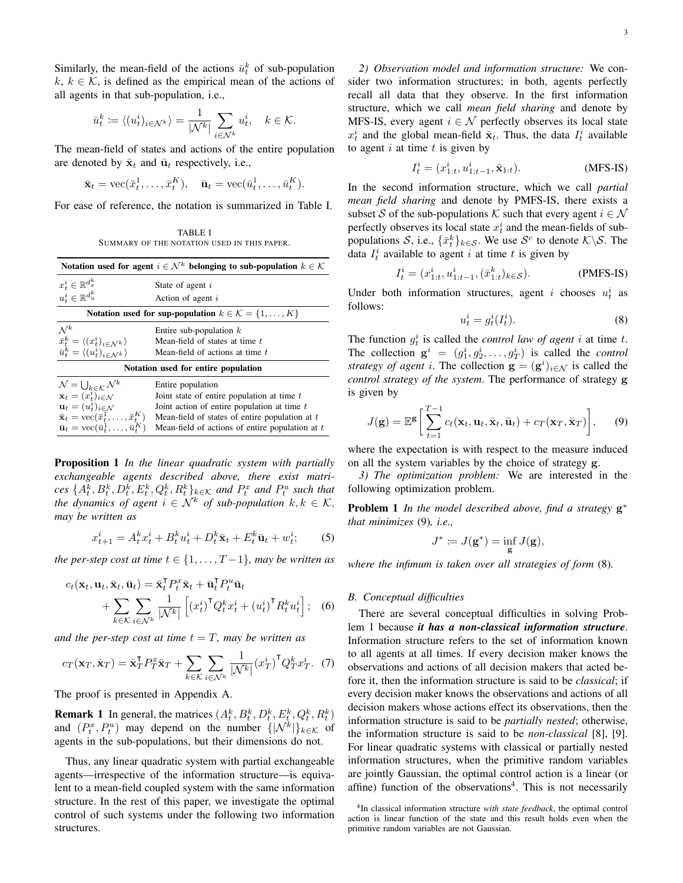Similarly, the mean-field of the actions  $\bar{u}_t^k$  of sub-population k,  $k \in \mathcal{K}$ , is defined as the empirical mean of the actions of all agents in that sub-population, i.e.,

$$
\bar{u}_t^k \coloneqq \langle (u_t^i)_{i \in \mathcal{N}^k} \rangle = \frac{1}{|\mathcal{N}^k|} \sum_{i \in \mathcal{N}^k} u_t^i, \quad k \in \mathcal{K}.
$$

The mean-field of states and actions of the entire population are denoted by  $\bar{\mathbf{x}}_t$  and  $\bar{\mathbf{u}}_t$  respectively, i.e.,

$$
\bar{\mathbf{x}}_t = \text{vec}(\bar{x}_t^1, \dots, \bar{x}_t^K), \quad \bar{\mathbf{u}}_t = \text{vec}(\bar{u}_t^1, \dots, \bar{u}_t^K).
$$

For ease of reference, the notation is summarized in Table I.

TABLE I SUMMARY OF THE NOTATION USED IN THIS PAPER.

| Notation used for agent $i \in \mathcal{N}^k$ belonging to sub-population $k \in \mathcal{K}$                                                                                                                                   |                                                                                                                                                                        |
|---------------------------------------------------------------------------------------------------------------------------------------------------------------------------------------------------------------------------------|------------------------------------------------------------------------------------------------------------------------------------------------------------------------|
| $x_t^i \in \mathbb{R}^{d_x^k}$<br>$u_t^i \in \mathbb{R}^{d_u^k}$                                                                                                                                                                | State of agent i<br>Action of agent i                                                                                                                                  |
| Notation used for sup-population $k \in \mathcal{K} = \{1, \ldots, K\}$                                                                                                                                                         |                                                                                                                                                                        |
| $\mathcal{N}^k$<br>$\bar{x}_t^k = \langle (x_t^i)_{i \in \mathcal{N}^k} \rangle$<br>$\bar{u}_t^k = \langle (u_t^i)_{i \in \mathcal{N}^k} \rangle$                                                                               | Entire sub-population $k$<br>Mean-field of states at time t<br>Mean-field of actions at time t                                                                         |
| Notation used for entire population                                                                                                                                                                                             |                                                                                                                                                                        |
| $\mathcal{N} = \bigcup_{k \in \mathcal{K}} \mathcal{N}^k$<br>$\mathbf{x}_t = (x_t^i)_{i \in \mathcal{N}}$<br>$\mathbf{u}_t = (u_t^i)_{i \in \mathcal{N}}$<br>$\bar{\mathbf{x}}_t = \text{vec}(\bar{x}_t^1, \dots, \bar{x}_t^K)$ | Entire population<br>Joint state of entire population at time $t$<br>Joint action of entire population at time $t$<br>Mean-field of states of entire population at $t$ |
| $\bar{\mathbf{u}}_t = \text{vec}(\bar{u}_t^1, \dots, \bar{u}_t^K)$                                                                                                                                                              | Mean-field of actions of entire population at $t$                                                                                                                      |

Proposition 1 *In the linear quadratic system with partially exchangeable agents described above, there exist matri-* $\{A_t^k, B_t^k, D_t^k, E_t^k, Q_t^k, R_t^k\}_{k\in\mathcal{K}}$  and  $P_t^x$  and  $P_t^u$  such that *the dynamics of agent*  $i \in \mathcal{N}^k$  *of sub-population*  $k, k \in \mathcal{K}$ , *may be written as*

$$
x_{t+1}^i = A_t^k x_t^i + B_t^k u_t^i + D_t^k \bar{\mathbf{x}}_t + E_t^k \bar{\mathbf{u}}_t + w_t^i; \qquad (5)
$$

*the per-step cost at time*  $t \in \{1, \ldots, T-1\}$ *, may be written as* 

$$
c_t(\mathbf{x}_t, \mathbf{u}_t, \bar{\mathbf{x}}_t, \bar{\mathbf{u}}_t) = \bar{\mathbf{x}}_t^{\mathsf{T}} P_t^x \bar{\mathbf{x}}_t + \bar{\mathbf{u}}_t^{\mathsf{T}} P_t^u \bar{\mathbf{u}}_t + \sum_{k \in \mathcal{K}} \sum_{i \in \mathcal{N}^k} \frac{1}{|\mathcal{N}^k|} \left[ \left( x_t^i \right)^{\mathsf{T}} Q_t^k x_t^i + \left( u_t^i \right)^{\mathsf{T}} R_t^k u_t^i \right]; \quad (6)
$$

*and the per-step cost at time*  $t = T$ *, may be written as* 

$$
c_T(\mathbf{x}_T, \bar{\mathbf{x}}_T) = \bar{\mathbf{x}}_T^{\mathsf{T}} P_T^x \bar{\mathbf{x}}_T + \sum_{k \in \mathcal{K}} \sum_{i \in \mathcal{N}^k} \frac{1}{|\mathcal{N}^k|} (x_T^i)^{\mathsf{T}} Q_T^k x_T^i.
$$
 (7)

The proof is presented in Appendix A.

**Remark 1** In general, the matrices  $(A_t^k, B_t^k, D_t^k, E_t^k, Q_t^k, R_t^k)$ and  $(P_t^x, P_t^u)$  may depend on the number  $\{|\mathcal{N}^k|\}_{k\in\mathcal{K}}$  of agents in the sub-populations, but their dimensions do not.

Thus, any linear quadratic system with partial exchangeable agents—irrespective of the information structure—is equivalent to a mean-field coupled system with the same information structure. In the rest of this paper, we investigate the optimal control of such systems under the following two information structures.

*2) Observation model and information structure:* We consider two information structures; in both, agents perfectly recall all data that they observe. In the first information structure, which we call *mean field sharing* and denote by MFS-IS, every agent  $i \in \mathcal{N}$  perfectly observes its local state  $x_t^i$  and the global mean-field  $\bar{\mathbf{x}}_t$ . Thus, the data  $I_t^i$  available to agent  $i$  at time  $t$  is given by

$$
I_t^i = (x_{1:t}^i, u_{1:t-1}^i, \bar{\mathbf{x}}_{1:t}).
$$
 (MFS-IS)

In the second information structure, which we call *partial mean field sharing* and denote by PMFS-IS, there exists a subset S of the sub-populations K such that every agent  $i \in \mathcal{N}$ perfectly observes its local state  $x_t^i$  and the mean-fields of subpopulations S, i.e.,  $\{\bar{x}_t^k\}_{k \in S}$ . We use S<sup>c</sup> to denote  $\mathcal{K} \backslash S$ . The data  $I_t^i$  available to agent i at time t is given by

$$
I_t^i = (x_{1:t}^i, u_{1:t-1}^i, (\bar{x}_{1:t}^k)_{k \in S}).
$$
 (PMFS-IS)

Under both information structures, agent i chooses  $u_t^i$  as follows:

$$
u_t^i = g_t^i(I_t^i). \tag{8}
$$

The function  $g_t^i$  is called the *control law of agent* i at time t. The collection  $\mathbf{g}^i = (g_1^i, g_2^i, \dots, g_T^i)$  is called the *control strategy of agent i.* The collection  $\mathbf{g} = (\mathbf{g}^i)_{i \in \mathcal{N}}$  is called the *control strategy of the system*. The performance of strategy g is given by

$$
J(\mathbf{g}) = \mathbb{E}^{\mathbf{g}} \bigg[ \sum_{t=1}^{T-1} c_t(\mathbf{x}_t, \mathbf{u}_t, \bar{\mathbf{x}}_t, \bar{\mathbf{u}}_t) + c_T(\mathbf{x}_T, \bar{\mathbf{x}}_T) \bigg], \qquad (9)
$$

where the expectation is with respect to the measure induced on all the system variables by the choice of strategy g.

*3) The optimization problem:* We are interested in the following optimization problem.

Problem 1 *In the model described above, find a strategy* g ∗ *that minimizes* (9)*, i.e.,*

$$
J^*\coloneqq J(\mathbf{g}^*)=\inf_{\mathbf{g}}J(\mathbf{g}),
$$

*where the infimum is taken over all strategies of form* (8)*.*

#### *B. Conceptual difficulties*

There are several conceptual difficulties in solving Problem 1 because *it has a non-classical information structure*. Information structure refers to the set of information known to all agents at all times. If every decision maker knows the observations and actions of all decision makers that acted before it, then the information structure is said to be *classical*; if every decision maker knows the observations and actions of all decision makers whose actions effect its observations, then the information structure is said to be *partially nested*; otherwise, the information structure is said to be *non-classical* [8], [9]. For linear quadratic systems with classical or partially nested information structures, when the primitive random variables are jointly Gaussian, the optimal control action is a linear (or affine) function of the observations<sup>4</sup>. This is not necessarily

<sup>4</sup> In classical information structure *with state feedback*, the optimal control action is linear function of the state and this result holds even when the primitive random variables are not Gaussian.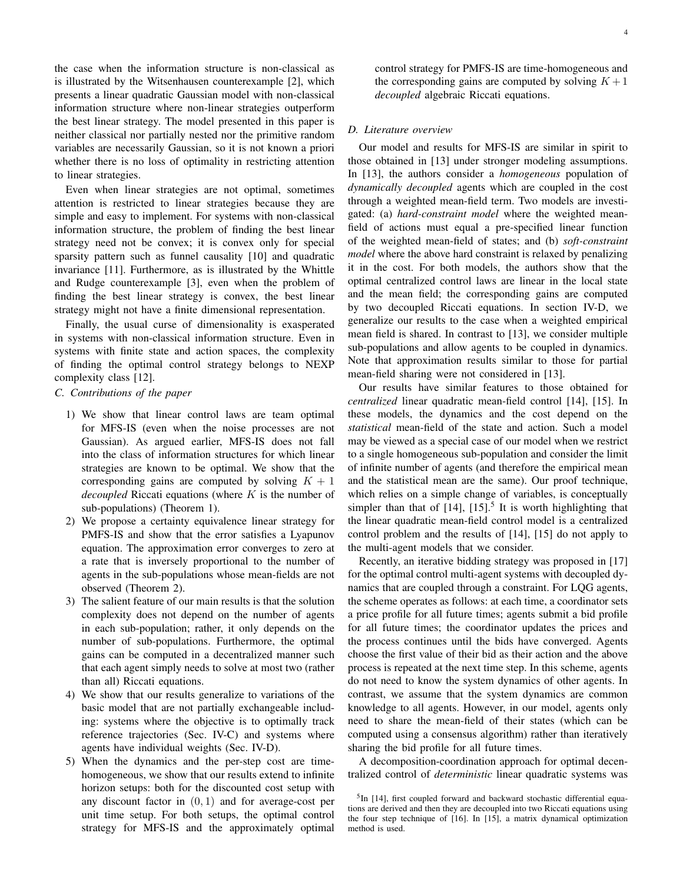the case when the information structure is non-classical as is illustrated by the Witsenhausen counterexample [2], which presents a linear quadratic Gaussian model with non-classical information structure where non-linear strategies outperform the best linear strategy. The model presented in this paper is neither classical nor partially nested nor the primitive random variables are necessarily Gaussian, so it is not known a priori whether there is no loss of optimality in restricting attention to linear strategies.

Even when linear strategies are not optimal, sometimes attention is restricted to linear strategies because they are simple and easy to implement. For systems with non-classical information structure, the problem of finding the best linear strategy need not be convex; it is convex only for special sparsity pattern such as funnel causality [10] and quadratic invariance [11]. Furthermore, as is illustrated by the Whittle and Rudge counterexample [3], even when the problem of finding the best linear strategy is convex, the best linear strategy might not have a finite dimensional representation.

Finally, the usual curse of dimensionality is exasperated in systems with non-classical information structure. Even in systems with finite state and action spaces, the complexity of finding the optimal control strategy belongs to NEXP complexity class [12].

# *C. Contributions of the paper*

- 1) We show that linear control laws are team optimal for MFS-IS (even when the noise processes are not Gaussian). As argued earlier, MFS-IS does not fall into the class of information structures for which linear strategies are known to be optimal. We show that the corresponding gains are computed by solving  $K + 1$ *decoupled* Riccati equations (where K is the number of sub-populations) (Theorem 1).
- 2) We propose a certainty equivalence linear strategy for PMFS-IS and show that the error satisfies a Lyapunov equation. The approximation error converges to zero at a rate that is inversely proportional to the number of agents in the sub-populations whose mean-fields are not observed (Theorem 2).
- 3) The salient feature of our main results is that the solution complexity does not depend on the number of agents in each sub-population; rather, it only depends on the number of sub-populations. Furthermore, the optimal gains can be computed in a decentralized manner such that each agent simply needs to solve at most two (rather than all) Riccati equations.
- 4) We show that our results generalize to variations of the basic model that are not partially exchangeable including: systems where the objective is to optimally track reference trajectories (Sec. IV-C) and systems where agents have individual weights (Sec. IV-D).
- 5) When the dynamics and the per-step cost are timehomogeneous, we show that our results extend to infinite horizon setups: both for the discounted cost setup with any discount factor in  $(0, 1)$  and for average-cost per unit time setup. For both setups, the optimal control strategy for MFS-IS and the approximately optimal

control strategy for PMFS-IS are time-homogeneous and the corresponding gains are computed by solving  $K + 1$ *decoupled* algebraic Riccati equations.

# *D. Literature overview*

Our model and results for MFS-IS are similar in spirit to those obtained in [13] under stronger modeling assumptions. In [13], the authors consider a *homogeneous* population of *dynamically decoupled* agents which are coupled in the cost through a weighted mean-field term. Two models are investigated: (a) *hard-constraint model* where the weighted meanfield of actions must equal a pre-specified linear function of the weighted mean-field of states; and (b) *soft-constraint model* where the above hard constraint is relaxed by penalizing it in the cost. For both models, the authors show that the optimal centralized control laws are linear in the local state and the mean field; the corresponding gains are computed by two decoupled Riccati equations. In section IV-D, we generalize our results to the case when a weighted empirical mean field is shared. In contrast to [13], we consider multiple sub-populations and allow agents to be coupled in dynamics. Note that approximation results similar to those for partial mean-field sharing were not considered in [13].

Our results have similar features to those obtained for *centralized* linear quadratic mean-field control [14], [15]. In these models, the dynamics and the cost depend on the *statistical* mean-field of the state and action. Such a model may be viewed as a special case of our model when we restrict to a single homogeneous sub-population and consider the limit of infinite number of agents (and therefore the empirical mean and the statistical mean are the same). Our proof technique, which relies on a simple change of variables, is conceptually simpler than that of  $[14]$ ,  $[15]$ <sup>5</sup>. It is worth highlighting that the linear quadratic mean-field control model is a centralized control problem and the results of [14], [15] do not apply to the multi-agent models that we consider.

Recently, an iterative bidding strategy was proposed in [17] for the optimal control multi-agent systems with decoupled dynamics that are coupled through a constraint. For LQG agents, the scheme operates as follows: at each time, a coordinator sets a price profile for all future times; agents submit a bid profile for all future times; the coordinator updates the prices and the process continues until the bids have converged. Agents choose the first value of their bid as their action and the above process is repeated at the next time step. In this scheme, agents do not need to know the system dynamics of other agents. In contrast, we assume that the system dynamics are common knowledge to all agents. However, in our model, agents only need to share the mean-field of their states (which can be computed using a consensus algorithm) rather than iteratively sharing the bid profile for all future times.

A decomposition-coordination approach for optimal decentralized control of *deterministic* linear quadratic systems was

<sup>&</sup>lt;sup>5</sup>In [14], first coupled forward and backward stochastic differential equations are derived and then they are decoupled into two Riccati equations using the four step technique of [16]. In [15], a matrix dynamical optimization method is used.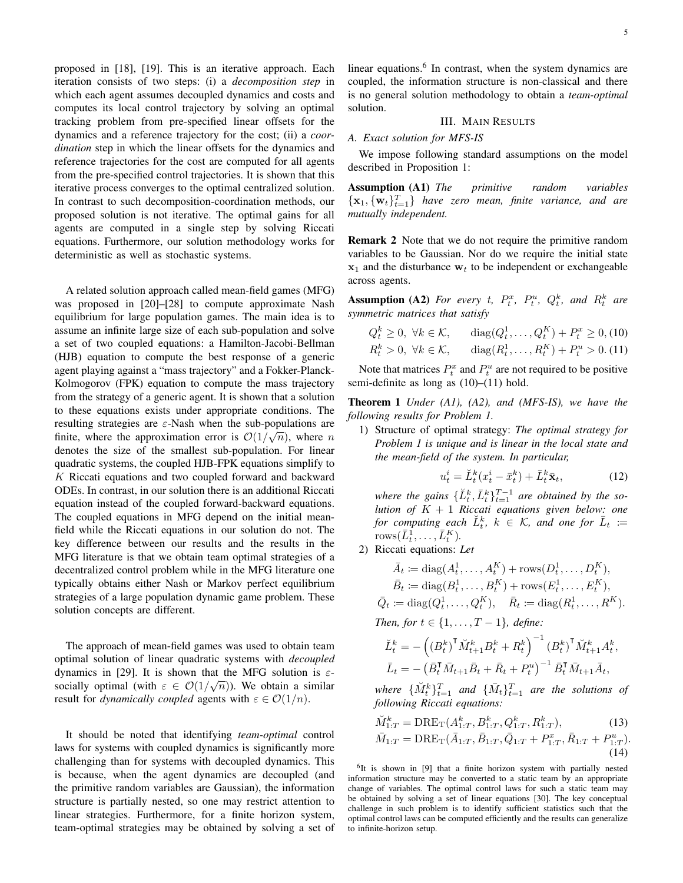proposed in [18], [19]. This is an iterative approach. Each iteration consists of two steps: (i) a *decomposition step* in which each agent assumes decoupled dynamics and costs and computes its local control trajectory by solving an optimal tracking problem from pre-specified linear offsets for the dynamics and a reference trajectory for the cost; (ii) a *coordination* step in which the linear offsets for the dynamics and reference trajectories for the cost are computed for all agents from the pre-specified control trajectories. It is shown that this iterative process converges to the optimal centralized solution. In contrast to such decomposition-coordination methods, our proposed solution is not iterative. The optimal gains for all agents are computed in a single step by solving Riccati equations. Furthermore, our solution methodology works for deterministic as well as stochastic systems.

A related solution approach called mean-field games (MFG) was proposed in [20]–[28] to compute approximate Nash equilibrium for large population games. The main idea is to assume an infinite large size of each sub-population and solve a set of two coupled equations: a Hamilton-Jacobi-Bellman (HJB) equation to compute the best response of a generic agent playing against a "mass trajectory" and a Fokker-Planck-Kolmogorov (FPK) equation to compute the mass trajectory from the strategy of a generic agent. It is shown that a solution to these equations exists under appropriate conditions. The resulting strategies are  $\varepsilon$ -Nash when the sub-populations are finite, where the approximation error is  $\mathcal{O}(1/\sqrt{n})$ , where n denotes the size of the smallest sub-population. For linear quadratic systems, the coupled HJB-FPK equations simplify to K Riccati equations and two coupled forward and backward ODEs. In contrast, in our solution there is an additional Riccati equation instead of the coupled forward-backward equations. The coupled equations in MFG depend on the initial meanfield while the Riccati equations in our solution do not. The key difference between our results and the results in the MFG literature is that we obtain team optimal strategies of a decentralized control problem while in the MFG literature one typically obtains either Nash or Markov perfect equilibrium strategies of a large population dynamic game problem. These solution concepts are different.

The approach of mean-field games was used to obtain team optimal solution of linear quadratic systems with *decoupled* dynamics in [29]. It is shown that the MFG solution is  $\varepsilon$ socially optimal (with  $\varepsilon \in \mathcal{O}(1/\sqrt{n})$ ). We obtain a similar result for *dynamically coupled* agents with  $\varepsilon \in \mathcal{O}(1/n)$ .

It should be noted that identifying *team-optimal* control laws for systems with coupled dynamics is significantly more challenging than for systems with decoupled dynamics. This is because, when the agent dynamics are decoupled (and the primitive random variables are Gaussian), the information structure is partially nested, so one may restrict attention to linear strategies. Furthermore, for a finite horizon system, team-optimal strategies may be obtained by solving a set of

linear equations.<sup>6</sup> In contrast, when the system dynamics are coupled, the information structure is non-classical and there is no general solution methodology to obtain a *team-optimal* solution.

#### III. MAIN RESULTS

#### *A. Exact solution for MFS-IS*

We impose following standard assumptions on the model described in Proposition 1:

Assumption (A1) *The primitive random variables*  ${x_1, {w_t}}_{t=1}^T$  *have zero mean, finite variance, and are mutually independent.*

Remark 2 Note that we do not require the primitive random variables to be Gaussian. Nor do we require the initial state  $x_1$  and the disturbance  $w_t$  to be independent or exchangeable across agents.

**Assumption (A2)** For every t,  $P_t^x$ ,  $P_t^u$ ,  $Q_t^k$ , and  $R_t^k$  are *symmetric matrices that satisfy*

$$
Q_t^k \ge 0, \ \forall k \in \mathcal{K}, \qquad \text{diag}(Q_t^1, \dots, Q_t^K) + P_t^x \ge 0, \text{(10)}
$$
\n
$$
R_t^k > 0, \ \forall k \in \mathcal{K}, \qquad \text{diag}(R_t^1, \dots, R_t^K) + P_t^u > 0. \text{(11)}
$$

Note that matrices  $P_t^x$  and  $P_t^u$  are not required to be positive semi-definite as long as (10)–(11) hold.

Theorem 1 *Under (A1), (A2), and (MFS-IS), we have the following results for Problem 1.*

1) Structure of optimal strategy: *The optimal strategy for Problem 1 is unique and is linear in the local state and the mean-field of the system. In particular,*

$$
u_t^i = \breve{L}_t^k (x_t^i - \bar{x}_t^k) + \bar{L}_t^k \bar{\mathbf{x}}_t, \tag{12}
$$

where the gains  $\{\check{L}_t^k, \bar{L}_t^k\}_{t=1}^{T-1}$  are obtained by the so*lution of* K + 1 *Riccati equations given below: one* for computing each  $\check{L}_t^k$ ,  $k \in \mathcal{K}$ , and one for  $\bar{L}_t :=$ rows $(\bar{L}_t^1, \ldots, \bar{L}_t^K)$ .

2) Riccati equations: *Let*

$$
\bar{A}_t := \text{diag}(A_t^1, \dots, A_t^K) + \text{rows}(D_t^1, \dots, D_t^K), \n\bar{B}_t := \text{diag}(B_t^1, \dots, B_t^K) + \text{rows}(E_t^1, \dots, E_t^K), \n\bar{Q}_t := \text{diag}(Q_t^1, \dots, Q_t^K), \quad \bar{R}_t := \text{diag}(R_t^1, \dots, R^K).
$$

*Then, for*  $t \in \{1, ..., T - 1\}$ *, define:* 

$$
\breve{L}_{t}^{k} = -\left( \left( B_{t}^{k} \right)^{\mathsf{T}} \breve{M}_{t+1}^{k} B_{t}^{k} + R_{t}^{k} \right)^{-1} \left( B_{t}^{k} \right)^{\mathsf{T}} \breve{M}_{t+1}^{k} A_{t}^{k},
$$
\n
$$
\bar{L}_{t} = -\left( \bar{B}_{t}^{\mathsf{T}} \bar{M}_{t+1} \bar{B}_{t} + \bar{R}_{t} + P_{t}^{u} \right)^{-1} \bar{B}_{t}^{\mathsf{T}} \bar{M}_{t+1} \bar{A}_{t},
$$

where  $\{\breve{M}_{t}^{k}\}_{t=1}^{T}$  and  $\{\bar{M}_{t}\}_{t=1}^{T}$  are the solutions of *following Riccati equations:*

$$
\tilde{M}_{1:T}^k = \text{DRE}_{\text{T}}(A_{1:T}^k, B_{1:T}^k, Q_{1:T}^k, R_{1:T}^k),
$$
\n(13)  
\n
$$
\bar{M}_{1:T} = \text{DRE}_{\text{T}}(\bar{A}_{1:T}, \bar{B}_{1:T}, \bar{Q}_{1:T} + P_{1:T}^x, \bar{R}_{1:T} + P_{1:T}^u).
$$
\n(14)

<sup>6</sup>It is shown in [9] that a finite horizon system with partially nested information structure may be converted to a static team by an appropriate change of variables. The optimal control laws for such a static team may be obtained by solving a set of linear equations [30]. The key conceptual challenge in such problem is to identify sufficient statistics such that the optimal control laws can be computed efficiently and the results can generalize to infinite-horizon setup.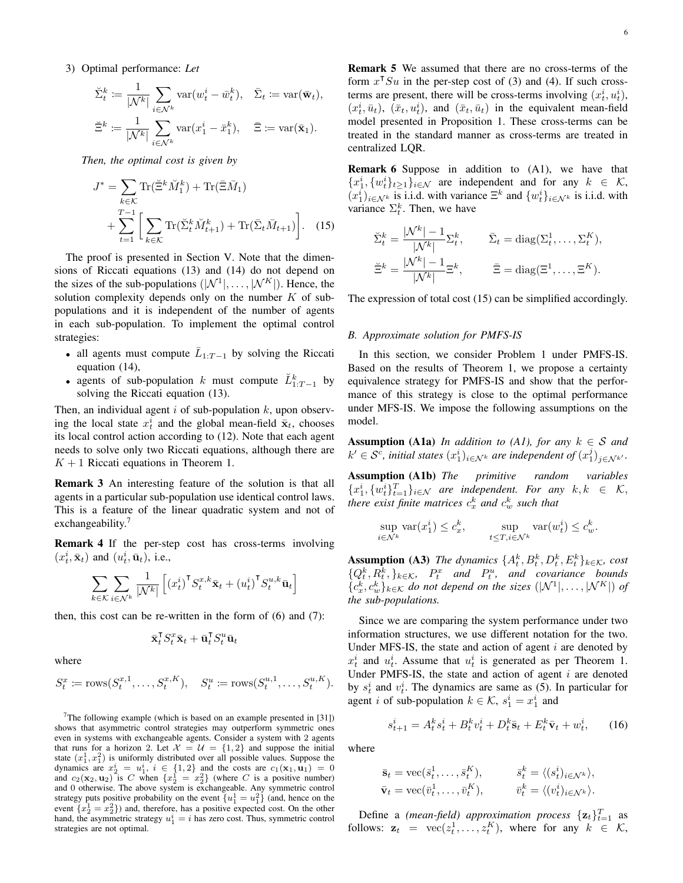$$
\check{\Sigma}_t^k := \frac{1}{|\mathcal{N}^k|} \sum_{i \in \mathcal{N}^k} \text{var}(w_t^i - \bar{w}_t^k), \quad \bar{\Sigma}_t := \text{var}(\bar{\mathbf{w}}_t),
$$
  

$$
\check{\Xi}^k := \frac{1}{|\mathcal{N}^k|} \sum_{i \in \mathcal{N}^k} \text{var}(x_1^i - \bar{x}_1^k), \quad \bar{\Xi} := \text{var}(\bar{\mathbf{x}}_1).
$$

*Then, the optimal cost is given by*

$$
J^* = \sum_{k \in \mathcal{K}} \text{Tr}(\tilde{\Xi}^k \check{M}_1^k) + \text{Tr}(\bar{\Xi} \bar{M}_1)
$$
  
+ 
$$
\sum_{t=1}^{T-1} \left[ \sum_{k \in \mathcal{K}} \text{Tr}(\check{\Sigma}_t^k \check{M}_{t+1}^k) + \text{Tr}(\bar{\Sigma}_t \bar{M}_{t+1}) \right]. \quad (15)
$$

The proof is presented in Section V. Note that the dimensions of Riccati equations (13) and (14) do not depend on the sizes of the sub-populations  $(|\mathcal{N}^1|, \dots, |\mathcal{N}^K|)$ . Hence, the solution complexity depends only on the number  $K$  of subpopulations and it is independent of the number of agents in each sub-population. To implement the optimal control strategies:

- all agents must compute  $\overline{L}_{1:T-1}$  by solving the Riccati equation (14),
- agents of sub-population k must compute  $\check{L}_{1:T-1}^k$  by solving the Riccati equation (13).

Then, an individual agent  $i$  of sub-population  $k$ , upon observing the local state  $x_t^i$  and the global mean-field  $\bar{\mathbf{x}}_t$ , chooses its local control action according to (12). Note that each agent needs to solve only two Riccati equations, although there are  $K + 1$  Riccati equations in Theorem 1.

Remark 3 An interesting feature of the solution is that all agents in a particular sub-population use identical control laws. This is a feature of the linear quadratic system and not of exchangeability. $7$ 

Remark 4 If the per-step cost has cross-terms involving  $(x_t^i, \bar{\mathbf{x}}_t)$  and  $(u_t^i, \bar{\mathbf{u}}_t)$ , i.e.,

$$
\sum_{k \in \mathcal{K}} \sum_{i \in \mathcal{N}^k} \frac{1}{|\mathcal{N}^k|} \left[ \left( x_t^i \right)^\mathsf{T} S_t^{x,k} \bar{\mathbf{x}}_t + \left( u_t^i \right)^\mathsf{T} S_t^{u,k} \bar{\mathbf{u}}_t \right]
$$

then, this cost can be re-written in the form of (6) and (7):

$$
\bar{\mathbf{x}}_t^{\mathsf{T}}S_t^x \bar{\mathbf{x}}_t + \bar{\mathbf{u}}_t^{\mathsf{T}}S_t^u \bar{\mathbf{u}}_t
$$

where

$$
S_t^x := \text{rows}(S_t^{x,1}, \dots, S_t^{x,K}), \quad S_t^u := \text{rows}(S_t^{u,1}, \dots, S_t^{u,K}).
$$

<sup>7</sup>The following example (which is based on an example presented in  $[31]$ ) shows that asymmetric control strategies may outperform symmetric ones even in systems with exchangeable agents. Consider a system with 2 agents that runs for a horizon 2. Let  $\mathcal{X} = \mathcal{U} = \{1, 2\}$  and suppose the initial state  $(x_1^1, x_1^2)$  is uniformly distributed over all possible values. Suppose the dynamics are  $x_2^i = u_1^i$ ,  $i \in \{1,2\}$  and the costs are  $c_1(\mathbf{x}_1, \mathbf{u}_1) = 0$ and  $c_2(\mathbf{x}_2, \mathbf{u}_2)$  is C when  $\{x_2^1 = x_2^2\}$  (where C is a positive number) and 0 otherwise. The above system is exchangeable. Any symmetric control strategy puts positive probability on the event  $\{u_1^1 = u_1^2\}$  (and, hence on the event  ${x_2^1 = x_2^2}$ ) and, therefore, has a positive expected cost. On the other hand, the asymmetric strategy  $u_1^i = i$  has zero cost. Thus, symmetric control strategies are not optimal.

Remark 5 We assumed that there are no cross-terms of the form  $x^T S u$  in the per-step cost of (3) and (4). If such crossterms are present, there will be cross-terms involving  $(x_t^i, u_t^i)$ ,  $(x_t^i, \bar{u}_t)$ ,  $(\bar{x}_t, u_t^i)$ , and  $(\bar{x}_t, \bar{u}_t)$  in the equivalent mean-field model presented in Proposition 1. These cross-terms can be treated in the standard manner as cross-terms are treated in centralized LQR.

Remark 6 Suppose in addition to (A1), we have that  ${x_1^i, {w_t^i}_{t \geq 1}}_{i \in \mathcal{N}}$  are independent and for any  $k \in \mathcal{K}$ ,  $(x_1^i)_{i \in \mathcal{N}^k}$  is i.i.d. with variance  $\Xi^k$  and  $\{w_t^i\}_{i \in \mathcal{N}^k}$  is i.i.d. with variance  $\Sigma_t^k$ . Then, we have

$$
\tilde{\Sigma}_t^k = \frac{|\mathcal{N}^k| - 1}{|\mathcal{N}^k|} \Sigma_t^k, \qquad \bar{\Sigma}_t = \text{diag}(\Sigma_t^1, \dots, \Sigma_t^K),
$$
  

$$
\tilde{\Xi}^k = \frac{|\mathcal{N}^k| - 1}{|\mathcal{N}^k|} \Xi^k, \qquad \bar{\Xi} = \text{diag}(\Xi^1, \dots, \Xi^K).
$$

The expression of total cost (15) can be simplified accordingly.

#### *B. Approximate solution for PMFS-IS*

In this section, we consider Problem 1 under PMFS-IS. Based on the results of Theorem 1, we propose a certainty equivalence strategy for PMFS-IS and show that the performance of this strategy is close to the optimal performance under MFS-IS. We impose the following assumptions on the model.

**Assumption (A1a)** *In addition to (A1), for any*  $k \in S$  *and*  $k' \in \mathcal{S}^{\tilde{c}}$ , initial states  $(x_1^i)_{i \in \mathcal{N}^k}$  are independent of  $(x_1^j)_{j \in \mathcal{N}^{k'}}$ .

Assumption (A1b) *The primitive random variables*  ${x_1^i, {w_t^i}_{t=1}^T}_{i \in \mathcal{N}}$  are independent. For any  $k, k \in \mathcal{K}$ , there exist finite matrices  $c_x^k$  and  $c_w^k$  such that

$$
\sup_{i \in \mathcal{N}^k} \text{var}(x_1^i) \le c_x^k, \qquad \sup_{t \le T, i \in \mathcal{N}^k} \text{var}(w_t^i) \le c_w^k.
$$

**Assumption (A3)** *The dynamics*  $\{A_t^k, B_t^k, D_t^k, E_t^k\}_{k \in \mathcal{K}}$ , cost  $\{Q_t^k, R_t^k, \}_k \in \mathcal{K}$ ,  $P_t^x$  and  $P_t^u$ , and covariance bounds  ${c_x^k, c_w^k}_{k \in \mathcal{K}}$  *do not depend on the sizes*  $(|\mathcal{N}^1|, \ldots, |\mathcal{N}^K|)$  *of the sub-populations.*

Since we are comparing the system performance under two information structures, we use different notation for the two. Under MFS-IS, the state and action of agent  $i$  are denoted by  $x_t^i$  and  $u_t^i$ . Assume that  $u_t^i$  is generated as per Theorem 1. Under PMFS-IS, the state and action of agent  $i$  are denoted by  $s_t^i$  and  $v_t^i$ . The dynamics are same as (5). In particular for agent *i* of sub-population  $k \in \mathcal{K}$ ,  $s_1^i = x_1^i$  and

$$
s_{t+1}^i = A_t^k s_t^i + B_t^k v_t^i + D_t^k \bar{\mathbf{s}}_t + E_t^k \bar{\mathbf{v}}_t + w_t^i, \qquad (16)
$$

where

$$
\begin{aligned}\n\bar{\mathbf{s}}_t &= \text{vec}(\bar{s}_t^1, \dots, \bar{s}_t^K), & \bar{s}_t^k &= \langle (s_t^i)_{i \in \mathcal{N}^k} \rangle, \\
\bar{\mathbf{v}}_t &= \text{vec}(\bar{v}_t^1, \dots, \bar{v}_t^K), & \bar{v}_t^k &= \langle (v_t^i)_{i \in \mathcal{N}^k} \rangle.\n\end{aligned}
$$

Define a *(mean-field)* approximation process  $\{z_t\}_{t=1}^T$  as follows:  $\mathbf{z}_t = \text{vec}(z_t^1, \dots, z_t^K)$ , where for any  $k \in \mathcal{K}$ ,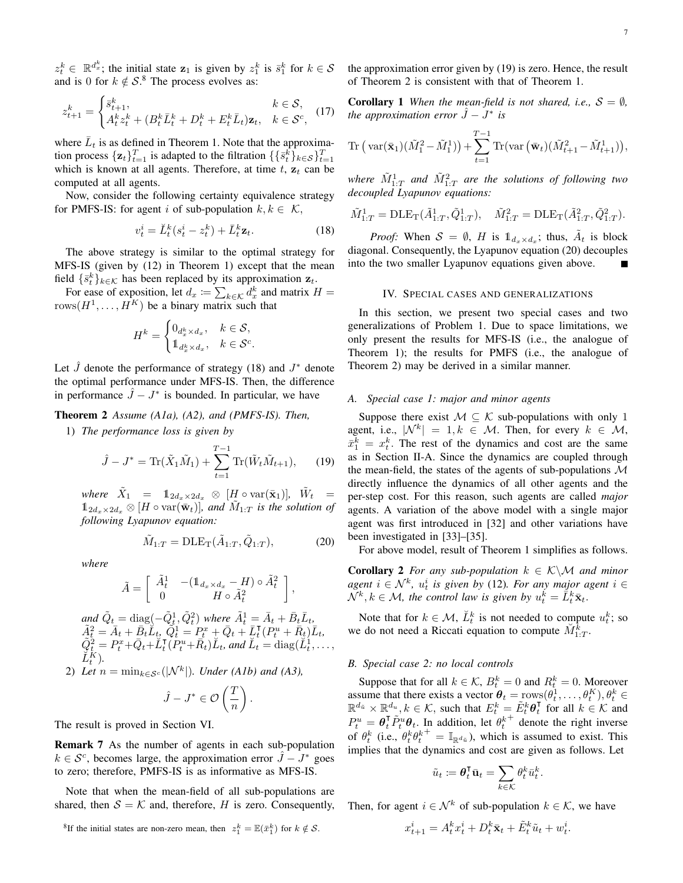$z_t^k \in \mathbb{R}^{d_x^k}$ ; the initial state  $z_1$  is given by  $z_1^k$  is  $\bar{s}_1^k$  for  $k \in S$ and is 0 for  $k \notin S$ .<sup>8</sup> The process evolves as:

$$
z_{t+1}^k = \begin{cases} \bar{s}_{t+1}^k, & k \in \mathcal{S}, \\ A_t^k z_t^k + (B_t^k \bar{L}_t^k + D_t^k + E_t^k \bar{L}_t) \mathbf{z}_t, & k \in \mathcal{S}^c, \end{cases}
$$
(17)

where  $\bar{L}_t$  is as defined in Theorem 1. Note that the approximation process  $\{z_t\}_{t=1}^T$  is adapted to the filtration  $\{\{\bar{s}_t^k\}_{k\in\mathcal{S}}\}_{t=1}^T$ which is known at all agents. Therefore, at time  $t$ ,  $z_t$  can be computed at all agents.

Now, consider the following certainty equivalence strategy for PMFS-IS: for agent i of sub-population  $k, k \in \mathcal{K}$ ,

$$
v_t^i = \breve{L}_t^k (s_t^i - z_t^k) + \bar{L}_t^k \mathbf{z}_t.
$$
 (18)

The above strategy is similar to the optimal strategy for MFS-IS (given by (12) in Theorem 1) except that the mean field  $\{\bar{s}_t^k\}_{k\in\mathcal{K}}$  has been replaced by its approximation  $\mathbf{z}_t$ .

For ease of exposition, let  $d_x \coloneqq \sum_{k \in \mathcal{K}} d_x^k$  and matrix  $H =$ rows $(H^1, \ldots, H^K)$  be a binary matrix such that

$$
H^k = \begin{cases} 0_{d_x^k \times d_x}, & k \in \mathcal{S}, \\ \mathbb{1}_{d_x^k \times d_x}, & k \in \mathcal{S}^c. \end{cases}
$$

Let  $\hat{J}$  denote the performance of strategy (18) and  $J^*$  denote the optimal performance under MFS-IS. Then, the difference in performance  $\hat{J} - J^*$  is bounded. In particular, we have

# Theorem 2 *Assume (A1a), (A2), and (PMFS-IS). Then,*

1) *The performance loss is given by*

$$
\hat{J} - J^* = \text{Tr}(\tilde{X}_1 \tilde{M}_1) + \sum_{t=1}^{T-1} \text{Tr}(\tilde{W}_t \tilde{M}_{t+1}), \qquad (19)
$$

 $where \quad \tilde{X}_1 = 1_{2d_x \times 2d_x} \otimes [H \circ \text{var}(\bar{\mathbf{x}}_1)], \quad \tilde{W}_t =$  $\mathbb{1}_{2d_x\times 2d_x}\otimes [H\circ \text{var}(\bar{\mathbf{w}}_t)],$  and  $\tilde{M}_{1:T}$  is the solution of *following Lyapunov equation:*

$$
\tilde{M}_{1:T} = \text{DLE}_{\text{T}}(\tilde{A}_{1:T}, \tilde{Q}_{1:T}),\tag{20}
$$

*where*

$$
\tilde{A} = \left[ \begin{array}{cc} \tilde{A}_t^1 & - (\mathbb{1}_{d_x \times d_x} - H) \circ \tilde{A}_t^2 \\ 0 & H \circ \tilde{A}_t^2 \end{array} \right],
$$

 $\tilde{Q}_t = \text{diag}(-\tilde{Q}_t^1, \tilde{Q}_t^2)$  where  $\tilde{A}_t^1 = \bar{A}_t + \bar{B}_t \bar{L}_t$ ,  $\tilde{A}_t^2 = \bar{A}_t + \bar{B}_t \breve{L}_t, \ \tilde{Q}_t^1 = P_t^x + \bar{Q}_t + \bar{L}_t^\intercal (P_t^u + \bar{R}_t) \bar{L}_t,$  $\tilde{Q}_t^{\tilde{2}} = P_t^x + \bar{Q}_t + \breve{L}_t^{\intercal}(\tilde{P}_t^u + \bar{R}_t)\breve{L}_t$ , and  $\breve{L}_t = \text{diag}(\breve{L}_t^1, \dots,$  $\breve{L}_{t}^{\breve{K}}$ ). 2) Let  $n = \min_{k \in \mathcal{S}^c} (|\mathcal{N}^k|)$ *. Under (A1b) and (A3)*,

$$
\hat{J} - J^* \in \mathcal{O}\left(\frac{T}{n}\right).
$$

The result is proved in Section VI.

Remark 7 As the number of agents in each sub-population  $k \in S^c$ , becomes large, the approximation error  $\hat{J} - J^*$  goes to zero; therefore, PMFS-IS is as informative as MFS-IS.

Note that when the mean-field of all sub-populations are shared, then  $S = K$  and, therefore, H is zero. Consequently, the approximation error given by (19) is zero. Hence, the result of Theorem 2 is consistent with that of Theorem 1.

**Corollary 1** *When the mean-field is not shared, i.e.,*  $S = \emptyset$ , *the approximation error*  $\hat{J} - J^*$  *is* 

$$
\operatorname{Tr}\left(\operatorname{var}(\bar{\mathbf{x}}_1)(\tilde{M}_1^2 - \tilde{M}_1^1)\right) + \sum_{t=1}^{T-1} \operatorname{Tr}(\operatorname{var}\left(\bar{\mathbf{w}}_t\right)(\tilde{M}_{t+1}^2 - \tilde{M}_{t+1}^1)),
$$

where  $\tilde{M}^1_{1:T}$  and  $\tilde{M}^2_{1:T}$  are the solutions of following two *decoupled Lyapunov equations:*

$$
\tilde{M}_{1:T}^1 = \text{DLE}_{\text{T}}(\tilde{A}_{1:T}^1, \tilde{Q}_{1:T}^1), \quad \tilde{M}_{1:T}^2 = \text{DLE}_{\text{T}}(\tilde{A}_{1:T}^2, \tilde{Q}_{1:T}^2).
$$

*Proof:* When  $S = \emptyset$ , *H* is  $\mathbb{1}_{d_x \times d_x}$ ; thus,  $\tilde{A}_t$  is block diagonal. Consequently, the Lyapunov equation (20) decouples into the two smaller Lyapunov equations given above.

# IV. SPECIAL CASES AND GENERALIZATIONS

In this section, we present two special cases and two generalizations of Problem 1. Due to space limitations, we only present the results for MFS-IS (i.e., the analogue of Theorem 1); the results for PMFS (i.e., the analogue of Theorem 2) may be derived in a similar manner.

#### *A. Special case 1: major and minor agents*

Suppose there exist  $M \subseteq \mathcal{K}$  sub-populations with only 1 agent, i.e.,  $|\mathcal{N}^k| = 1, k \in \mathcal{M}$ . Then, for every  $k \in \mathcal{M}$ ,  $\bar{x}_1^k = x_t^k$ . The rest of the dynamics and cost are the same as in Section II-A. Since the dynamics are coupled through the mean-field, the states of the agents of sub-populations  $\mathcal M$ directly influence the dynamics of all other agents and the per-step cost. For this reason, such agents are called *major* agents. A variation of the above model with a single major agent was first introduced in [32] and other variations have been investigated in [33]–[35].

For above model, result of Theorem 1 simplifies as follows.

**Corollary 2** *For any sub-population*  $k \in \mathcal{K} \setminus \mathcal{M}$  *and minor agent*  $i \in \mathcal{N}^k$ ,  $u_t^i$  is given by (12). For any major agent  $i \in$  $\mathcal{N}^k, k \in \mathcal{M}$ , the control law is given by  $u_t^k = \overline{L}_t^k \overline{\mathbf{x}}_t$ .

Note that for  $k \in \mathcal{M}$ ,  $\check{L}_t^k$  is not needed to compute  $u_t^k$ ; so we do not need a Riccati equation to compute  $\check{M}_{1:T}^{\tilde{k}}$ .

# *B. Special case 2: no local controls*

Suppose that for all  $k \in \mathcal{K}$ ,  $B_t^k = 0$  and  $R_t^k = 0$ . Moreover assume that there exists a vector  $\theta_t = \text{rows}(\theta_t^1, \dots, \theta_t^K), \theta_t^k \in$  $\mathbb{R}^{d_{\tilde{u}}} \times \mathbb{R}^{d_u}, k \in \mathcal{K}$ , such that  $E_t^k = \tilde{E}_t^k \theta_t^{\mathsf{T}}$  for all  $k \in \mathcal{K}$  and  $P_t^u = \theta_t^{\mathsf{T}} \tilde{P}_t^u \theta_t$ . In addition, let  $\theta_t^k$ + denote the right inverse of  $\theta_t^k$  (i.e.,  $\theta_t^k \theta_t^k$  $^{+} = \mathbb{I}_{\mathbb{R}^{d_{\tilde{u}}}}$ , which is assumed to exist. This implies that the dynamics and cost are given as follows. Let

$$
\tilde{u}_t \coloneqq \boldsymbol{\theta}_t^{\sf T} \bar{\mathbf{u}}_t = \sum_{k \in \mathcal{K}} \theta_t^k \bar{u}_t^k.
$$

Then, for agent  $i \in \mathcal{N}^k$  of sub-population  $k \in \mathcal{K}$ , we have

$$
x_{t+1}^i = A_t^k x_t^i + D_t^k \bar{\mathbf{x}}_t + \tilde{E}_t^k \tilde{u}_t + w_t^i.
$$

<sup>&</sup>lt;sup>8</sup>If the initial states are non-zero mean, then  $z_1^k = \mathbb{E}(\bar{x}_1^k)$  for  $k \notin \mathcal{S}$ .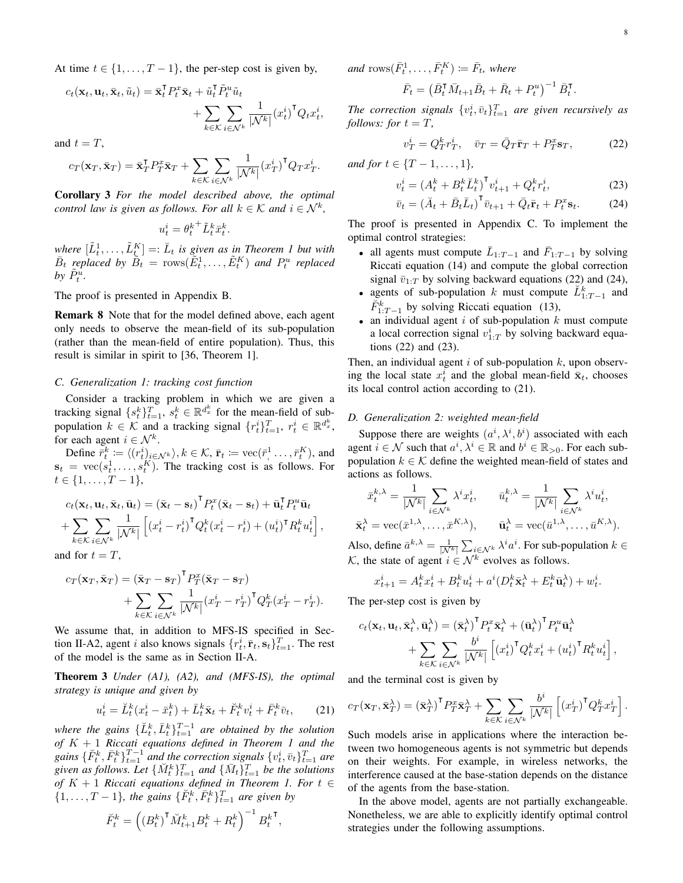At time  $t \in \{1, \ldots, T-1\}$ , the per-step cost is given by,

$$
c_t(\mathbf{x}_t, \mathbf{u}_t, \bar{\mathbf{x}}_t, \tilde{u}_t) = \bar{\mathbf{x}}_t^\mathsf{T} P_t^x \bar{\mathbf{x}}_t + \tilde{u}_t^\mathsf{T} \tilde{P}_t^u \tilde{u}_t + \sum_{k \in \mathcal{K}} \sum_{i \in \mathcal{N}^k} \frac{1}{|\mathcal{N}^k|} (x_t^i)^\mathsf{T} Q_t x_t^i,
$$

and  $t = T$ ,

$$
c_T(\mathbf{x}_T, \bar{\mathbf{x}}_T) = \bar{\mathbf{x}}_T^{\mathsf{T}} P_T^x \bar{\mathbf{x}}_T + \sum_{k \in \mathcal{K}} \sum_{i \in \mathcal{N}^k} \frac{1}{|\mathcal{N}^k|} (x_T^i)^{\mathsf{T}} Q_T x_T^i.
$$

Corollary 3 *For the model described above, the optimal control law is given as follows. For all*  $k \in \mathcal{K}$  *and*  $i \in \mathcal{N}^k$ ,

$$
u_t^i = {\theta_t^k}^+ \tilde{L}_t^k \bar{x}_t^k.
$$

where  $[\tilde{L}_t^1, \ldots, \tilde{L}_t^K] =: \bar{L}_t$  is given as in Theorem 1 but with  $\bar{B}_t$  replaced by  $\tilde{B}_t = \text{rows}(\tilde{E}_t^1, \ldots, \tilde{E}_t^K)$  and  $P_t^u$  replaced by  $\tilde{P}_t^{\tilde{u}}$ .

The proof is presented in Appendix B.

Remark 8 Note that for the model defined above, each agent only needs to observe the mean-field of its sub-population (rather than the mean-field of entire population). Thus, this result is similar in spirit to [36, Theorem 1].

#### *C. Generalization 1: tracking cost function*

Consider a tracking problem in which we are given a tracking signal  $\{s_t^k\}_{t=1}^T$ ,  $s_t^k \in \mathbb{R}^{d_x^k}$  for the mean-field of subpopulation  $k \in \mathcal{K}$  and a tracking signal  $\{r_t^i\}_{t=1}^T$ ,  $r_t^i \in \mathbb{R}^{d_x^k}$ , for each agent  $i \in \mathcal{N}^k$ .

Define  $\bar{r}_t^k := \langle (r_t^i)_{i \in \mathcal{N}^k} \rangle, k \in \mathcal{K}, \bar{\mathbf{r}}_t := \text{vec}(\bar{r}_1^1, \dots, \bar{r}_t^K)$ , and  $\mathbf{s}_t = \text{vec}(s_t^1, \dots, s_t^K)$ . The tracking cost is as follows. For  $t \in \{1, \ldots, T-1\},\$ 

$$
c_t(\mathbf{x}_t, \mathbf{u}_t, \bar{\mathbf{x}}_t, \bar{\mathbf{u}}_t) = (\bar{\mathbf{x}}_t - \mathbf{s}_t)^{\mathsf{T}} P_t^x (\bar{\mathbf{x}}_t - \mathbf{s}_t) + \bar{\mathbf{u}}_t^{\mathsf{T}} P_t^u \bar{\mathbf{u}}_t + \sum_{k \in \mathcal{K}} \sum_{i \in \mathcal{N}^k} \frac{1}{|\mathcal{N}^k|} \left[ (x_t^i - r_t^i)^{\mathsf{T}} Q_t^k (x_t^i - r_t^i) + (u_t^i)^{\mathsf{T}} R_t^k u_t^i \right],
$$

and for  $t = T$ ,

$$
c_T(\mathbf{x}_T, \bar{\mathbf{x}}_T) = (\bar{\mathbf{x}}_T - \mathbf{s}_T)^T P_T^x (\bar{\mathbf{x}}_T - \mathbf{s}_T)
$$
  
+ 
$$
\sum_{k \in \mathcal{K}} \sum_{i \in \mathcal{N}^k} \frac{1}{|\mathcal{N}^k|} (x_T^i - r_T^i)^T Q_T^k (x_T^i - r_T^i).
$$

We assume that, in addition to MFS-IS specified in Section II-A2, agent *i* also knows signals  $\{r_t^i, \bar{\mathbf{r}}_t, \mathbf{s}_t\}_{t=1}^T$ . The rest of the model is the same as in Section II-A.

Theorem 3 *Under (A1), (A2), and (MFS-IS), the optimal strategy is unique and given by*

$$
u_t^i = \breve{L}_t^k (x_t^i - \bar{x}_t^k) + \bar{L}_t^k \bar{\mathbf{x}}_t + \breve{F}_t^k v_t^i + \bar{F}_t^k \bar{v}_t, \qquad (21)
$$

where the gains  $\{\check{L}_t^k, \bar{L}_t^k\}_{t=1}^{T-1}$  are obtained by the solution *of* K + 1 *Riccati equations defined in Theorem 1 and the gains*  $\{\breve{F}_t^k, \bar{F}_t^k\}_{t=1}^{T-1}$  *and the correction signals*  $\{v_t^i, \bar{v}_t\}_{t=1}^T$  *are* given as follows. Let  $\{M_t^k\}_{t=1}^T$  and  $\{\bar{M}_t\}_{t=1}^T$  be the solutions *of* K + 1 *Riccati equations defined in Theorem 1. For* t ∈  $\{1, \ldots, T-1\}$ , the gains  $\{\check{F}_t^k, \bar{F}_t^k\}_{t=1}^T$  are given by

$$
\breve{F}_t^k = \left( \left( B_t^k \right)^\mathsf{T} \breve{M}_{t+1}^k B_t^k + R_t^k \right)^{-1} B_t^{k \mathsf{T}},
$$

 $and \text{ rows}(\bar{F}_t^1, \ldots, \bar{F}_t^K) \coloneqq \bar{F}_t$ *, where* 

$$
\bar{F}_t = \left(\bar{B}_t^{\mathsf{T}} \bar{M}_{t+1} \bar{B}_t + \bar{R}_t + P_t^u\right)^{-1} \bar{B}_t^{\mathsf{T}}.
$$

The correction signals  $\{v_t^i, \bar{v}_t\}_{t=1}^T$  are given recursively as *follows: for*  $t = T$ ,

$$
v_T^i = Q_T^k r_T^i, \quad \bar{v}_T = \bar{Q}_T \bar{\mathbf{r}}_T + P_T^x \mathbf{s}_T,\tag{22}
$$

*and for*  $t \in \{T-1, \ldots, 1\}$ *,* 

$$
v_t^i = (A_t^k + B_t^k \breve{L}_t^k)^{\mathsf{T}} v_{t+1}^i + Q_t^k r_t^i, \tag{23}
$$

$$
\bar{v}_t = \left(\bar{A}_t + \bar{B}_t \bar{L}_t\right)^{\mathsf{T}} \bar{v}_{t+1} + \bar{Q}_t \bar{\mathbf{r}}_t + P_t^x \mathbf{s}_t. \tag{24}
$$

The proof is presented in Appendix C. To implement the optimal control strategies:

- all agents must compute  $\bar{L}_{1:T-1}$  and  $\bar{F}_{1:T-1}$  by solving Riccati equation (14) and compute the global correction signal  $\bar{v}_{1:T}$  by solving backward equations (22) and (24),
- agents of sub-population k must compute  $\check{L}_{1:T-1}^k$  and  $\check{F}_{1:T-1}^k$  by solving Riccati equation (13),
- an individual agent  $i$  of sub-population  $k$  must compute a local correction signal  $v_{1:T}^i$  by solving backward equations (22) and (23).

Then, an individual agent  $i$  of sub-population  $k$ , upon observing the local state  $x_t^i$  and the global mean-field  $\bar{x}_t$ , chooses its local control action according to (21).

## *D. Generalization 2: weighted mean-field*

Suppose there are weights  $(a^i, \lambda^i, b^i)$  associated with each agent  $i \in \mathcal{N}$  such that  $a^i, \lambda^i \in \mathbb{R}$  and  $b^i \in \mathbb{R}_{>0}$ . For each subpopulation  $k \in \mathcal{K}$  define the weighted mean-field of states and actions as follows.

$$
\bar{x}_t^{k,\lambda} = \frac{1}{|\mathcal{N}^k|} \sum_{i \in \mathcal{N}^k} \lambda^i x_t^i, \qquad \bar{u}_t^{k,\lambda} = \frac{1}{|\mathcal{N}^k|} \sum_{i \in \mathcal{N}^k} \lambda^i u_t^i,
$$

$$
\bar{\mathbf{x}}_t^{\lambda} = \text{vec}(\bar{x}^{1,\lambda}, \dots, \bar{x}^{K,\lambda}), \qquad \bar{\mathbf{u}}_t^{\lambda} = \text{vec}(\bar{u}^{1,\lambda}, \dots, \bar{u}^{K,\lambda}).
$$

Also, define  $\bar{a}^{k,\lambda} = \frac{1}{|N^k|} \sum_{i \in \mathcal{N}^k} \lambda^i a^i$ . For sub-population  $k \in$ K, the state of agent  $i \in \mathcal{N}^k$  evolves as follows.

$$
x_{t+1}^i = A_t^k x_t^i + B_t^k u_t^i + a^i (D_t^k \overline{\mathbf{x}}_t^{\lambda} + E_t^k \overline{\mathbf{u}}_t^{\lambda}) + w_t^i.
$$

The per-step cost is given by

$$
c_t(\mathbf{x}_t, \mathbf{u}_t, \bar{\mathbf{x}}_t^{\lambda}, \bar{\mathbf{u}}_t^{\lambda}) = (\bar{\mathbf{x}}_t^{\lambda})^{\mathsf{T}} P_t^x \bar{\mathbf{x}}_t^{\lambda} + (\bar{\mathbf{u}}_t^{\lambda})^{\mathsf{T}} P_t^u \bar{\mathbf{u}}_t^{\lambda} + \sum_{k \in \mathcal{K}} \sum_{i \in \mathcal{N}^k} \frac{b^i}{|\mathcal{N}^k|} \left[ (x_t^i)^{\mathsf{T}} Q_t^k x_t^i + (u_t^i)^{\mathsf{T}} R_t^k u_t^i \right],
$$

and the terminal cost is given by

$$
c_T(\mathbf{x}_T, \bar{\mathbf{x}}_T^{\lambda}) = (\bar{\mathbf{x}}_T^{\lambda})^{\mathsf{T}} P_T^x \bar{\mathbf{x}}_T^{\lambda} + \sum_{k \in \mathcal{K}} \sum_{i \in \mathcal{N}^k} \frac{b^i}{|\mathcal{N}^k|} \left[ \left( x_T^i \right)^{\mathsf{T}} Q_T^k x_T^i \right].
$$

Such models arise in applications where the interaction between two homogeneous agents is not symmetric but depends on their weights. For example, in wireless networks, the interference caused at the base-station depends on the distance of the agents from the base-station.

In the above model, agents are not partially exchangeable. Nonetheless, we are able to explicitly identify optimal control strategies under the following assumptions.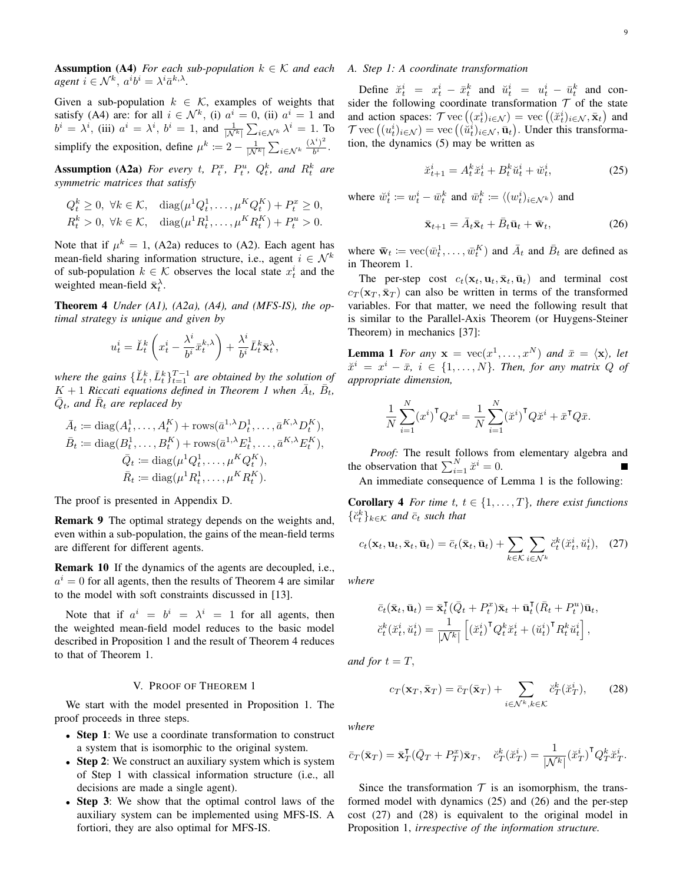**Assumption** (A4) *For each sub-population*  $k \in \mathcal{K}$  *and each agent*  $i \in \mathcal{N}^k$ ,  $a^i b^i = \lambda^i \bar{a}^{k,\lambda}$ .

Given a sub-population  $k \in \mathcal{K}$ , examples of weights that satisfy (A4) are: for all  $i \in \mathcal{N}^k$ , (i)  $a^i = 0$ , (ii)  $a^i = 1$  and  $b^i = \lambda^i$ , (iii)  $a^i = \lambda^i$ ,  $b^i = 1$ , and  $\frac{1}{|\mathcal{N}^k|} \sum_{i \in \mathcal{N}^k} \lambda^i = 1$ . To simplify the exposition, define  $\mu^k := 2 - \frac{1}{|\mathcal{N}^k|} \sum_{i \in \mathcal{N}^k} \frac{(\lambda^i)^2}{b^i}$  $\frac{1}{b^i}$ .

**Assumption (A2a)** For every t,  $P_t^x$ ,  $P_t^u$ ,  $Q_t^k$ , and  $R_t^k$  are *symmetric matrices that satisfy*

$$
Q_t^k \ge 0, \ \forall k \in \mathcal{K}, \quad \text{diag}(\mu^1 Q_t^1, \dots, \mu^K Q_t^K) + P_t^x \ge 0,
$$
  

$$
R_t^k > 0, \ \forall k \in \mathcal{K}, \quad \text{diag}(\mu^1 R_t^1, \dots, \mu^K R_t^K) + P_t^u > 0.
$$

Note that if  $\mu^k = 1$ , (A2a) reduces to (A2). Each agent has mean-field sharing information structure, i.e., agent  $i \in \mathcal{N}^k$ of sub-population  $k \in \mathcal{K}$  observes the local state  $x_t^i$  and the weighted mean-field  $\bar{\mathbf{x}}_t^{\lambda}$ .

Theorem 4 *Under (A1), (A2a), (A4), and (MFS-IS), the optimal strategy is unique and given by*

$$
u_t^i = \breve{L}_t^k \left( x_t^i - \frac{\lambda^i}{b^i} \bar{x}_t^{k,\lambda} \right) + \frac{\lambda^i}{b^i} \bar{L}_t^k \bar{\mathbf{x}}_t^{\lambda},
$$

where the gains  $\{\check{L}_t^k, \bar{L}_t^k\}_{t=1}^{T-1}$  are obtained by the solution of  $K + 1$  *Riccati equations defined in Theorem 1 when*  $\overline{A}_t$ ,  $\overline{B}_t$ ,  $\bar{Q}_t$ , and  $\bar{R}_t$  are replaced by

$$
\bar{A}_t := \text{diag}(A_t^1, \dots, A_t^K) + \text{rows}(\bar{a}^{1,\lambda} D_t^1, \dots, \bar{a}^{K,\lambda} D_t^K),
$$
\n
$$
\bar{B}_t := \text{diag}(B_t^1, \dots, B_t^K) + \text{rows}(\bar{a}^{1,\lambda} E_t^1, \dots, \bar{a}^{K,\lambda} E_t^K),
$$
\n
$$
\bar{Q}_t := \text{diag}(\mu^1 Q_t^1, \dots, \mu^K Q_t^K),
$$
\n
$$
\bar{R}_t := \text{diag}(\mu^1 R_t^1, \dots, \mu^K R_t^K).
$$

The proof is presented in Appendix D.

Remark 9 The optimal strategy depends on the weights and, even within a sub-population, the gains of the mean-field terms are different for different agents.

Remark 10 If the dynamics of the agents are decoupled, i.e.,  $a^i = 0$  for all agents, then the results of Theorem 4 are similar to the model with soft constraints discussed in [13].

Note that if  $a^i = b^i = \lambda^i = 1$  for all agents, then the weighted mean-field model reduces to the basic model described in Proposition 1 and the result of Theorem 4 reduces to that of Theorem 1.

## V. PROOF OF THEOREM 1

We start with the model presented in Proposition 1. The proof proceeds in three steps.

- Step 1: We use a coordinate transformation to construct a system that is isomorphic to the original system.
- Step 2: We construct an auxiliary system which is system of Step 1 with classical information structure (i.e., all decisions are made a single agent).
- Step 3: We show that the optimal control laws of the auxiliary system can be implemented using MFS-IS. A fortiori, they are also optimal for MFS-IS.

# *A. Step 1: A coordinate transformation*

Define  $\breve{x}_t^i = x_t^i - \bar{x}_t^k$  and  $\breve{u}_t^i = u_t^i - \bar{u}_t^k$  and consider the following coordinate transformation  $T$  of the state and action spaces:  $\mathcal{T}$  vec  $((x_t^i)_{i \in \mathcal{N}})$  = vec  $((\check{x}_t^i)_{i \in \mathcal{N}}, \bar{\mathbf{x}}_t)$  and  $\mathcal{T}$  vec  $((u_t^i)_{i \in \mathcal{N}})$  = vec  $((\overset{\sim}{u}_t^i)_{i \in \mathcal{N}}, \bar{\mathbf{u}}_t)$ . Under this transformation, the dynamics (5) may be written as

$$
\ddot{x}_{t+1}^i = A_t^k \ddot{x}_t^i + B_t^k \ddot{u}_t^i + \ddot{w}_t^i,\tag{25}
$$

where  $\tilde{w}_t^i := w_t^i - \bar{w}_t^k$  and  $\bar{w}_t^k := \langle (w_t^i)_{i \in \mathcal{N}^k} \rangle$  and

$$
\bar{\mathbf{x}}_{t+1} = \bar{A}_t \bar{\mathbf{x}}_t + \bar{B}_t \bar{\mathbf{u}}_t + \bar{\mathbf{w}}_t, \tag{26}
$$

where  $\bar{\mathbf{w}}_t := \text{vec}(\bar{w}_t^1, \dots, \bar{w}_t^K)$  and  $\bar{A}_t$  and  $\bar{B}_t$  are defined as in Theorem 1.

The per-step cost  $c_t(\mathbf{x}_t, \mathbf{u}_t, \bar{\mathbf{x}}_t, \bar{\mathbf{u}}_t)$  and terminal cost  $c_T(\mathbf{x}_T, \bar{\mathbf{x}}_T)$  can also be written in terms of the transformed variables. For that matter, we need the following result that is similar to the Parallel-Axis Theorem (or Huygens-Steiner Theorem) in mechanics [37]:

**Lemma 1** *For any*  $\mathbf{x} = \text{vec}(x^1, \dots, x^N)$  *and*  $\bar{x} = \langle \mathbf{x} \rangle$ *, let*  $\check{x}^i = x^i - \bar{x}, i \in \{1, \ldots, N\}$ . Then, for any matrix Q of *appropriate dimension,*

$$
\frac{1}{N} \sum_{i=1}^{N} (x^{i})^{\mathsf{T}} Q x^{i} = \frac{1}{N} \sum_{i=1}^{N} (\check{x}^{i})^{\mathsf{T}} Q \check{x}^{i} + \bar{x}^{\mathsf{T}} Q \bar{x}.
$$

*Proof:* The result follows from elementary algebra and the observation that  $\sum_{i=1}^{N} \breve{x}^i = 0$ .

An immediate consequence of Lemma 1 is the following:

**Corollary 4** *For time t, t*  $\in$  {1, ..., *T*}*, there exist functions*  $\{\breve{c}_t^k\}_{k\in\mathcal{K}}$  and  $\bar{c}_t$  such that

$$
c_t(\mathbf{x}_t, \mathbf{u}_t, \bar{\mathbf{x}}_t, \bar{\mathbf{u}}_t) = \bar{c}_t(\bar{\mathbf{x}}_t, \bar{\mathbf{u}}_t) + \sum_{k \in \mathcal{K}} \sum_{i \in \mathcal{N}^k} \breve{c}_t^k(\breve{x}_t^i, \breve{u}_t^i), \quad (27)
$$

*where*

$$
\bar{c}_t(\bar{\mathbf{x}}_t, \bar{\mathbf{u}}_t) = \bar{\mathbf{x}}_t^{\mathsf{T}}(\bar{Q}_t + P_t^x)\bar{\mathbf{x}}_t + \bar{\mathbf{u}}_t^{\mathsf{T}}(\bar{R}_t + P_t^u)\bar{\mathbf{u}}_t,
$$
  

$$
\breve{c}_t^k(\breve{x}_t^i, \breve{u}_t^i) = \frac{1}{|\mathcal{N}^k|} \left[ \left(\breve{x}_t^i\right)^{\mathsf{T}} Q_t^k \breve{x}_t^i + \left(\breve{u}_t^i\right)^{\mathsf{T}} R_t^k \breve{u}_t^i \right],
$$

*and for*  $t = T$ ,

$$
c_T(\mathbf{x}_T, \bar{\mathbf{x}}_T) = \bar{c}_T(\bar{\mathbf{x}}_T) + \sum_{i \in \mathcal{N}^k, k \in \mathcal{K}} \breve{c}_T^k(\breve{x}_T^i),\qquad(28)
$$

*where*

$$
\bar{c}_T(\bar{\mathbf{x}}_T) = \bar{\mathbf{x}}_T^{\mathsf{T}}(\bar{Q}_T + P_T^x)\bar{\mathbf{x}}_T, \quad \breve{c}_T^k(\breve{x}_T^i) = \frac{1}{|\mathcal{N}^k|}(\breve{x}_T^i)^{\mathsf{T}} Q_T^k \breve{x}_T^i.
$$

Since the transformation  $T$  is an isomorphism, the transformed model with dynamics (25) and (26) and the per-step cost (27) and (28) is equivalent to the original model in Proposition 1, *irrespective of the information structure.*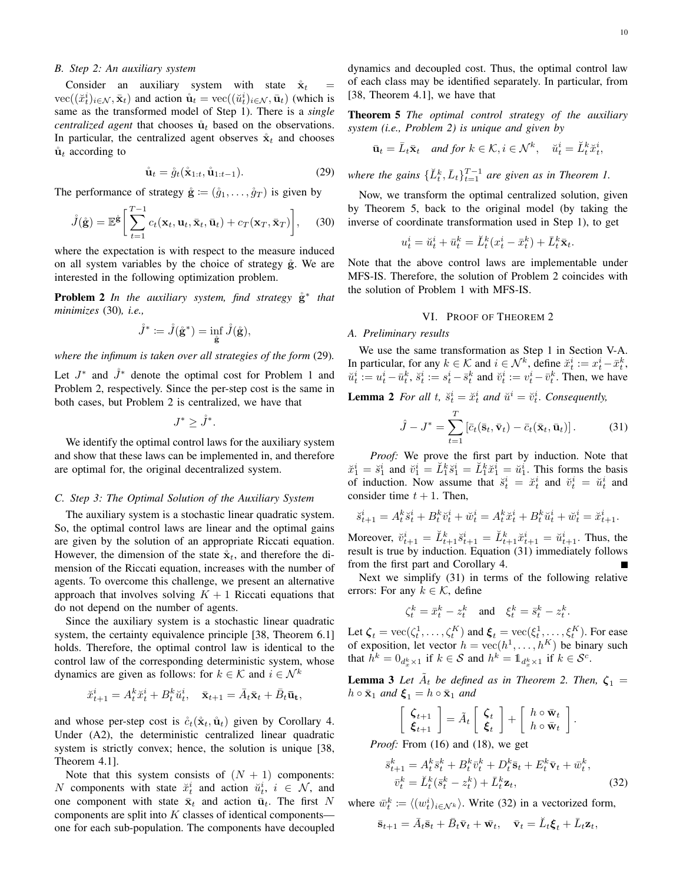# *B. Step 2: An auxiliary system*

Consider an auxiliary system with state  $\mathbf{\dot{x}}_t =$  $\text{vec}((\check{x}_t^i)_{i \in \mathcal{N}}, \bar{\mathbf{x}}_t)$  and action  $\mathring{\mathbf{u}}_t = \text{vec}((\check{u}_t^i)_{i \in \mathcal{N}}, \bar{\mathbf{u}}_t)$  (which is same as the transformed model of Step 1). There is a *single centralized agent* that chooses  $\mathring{u}_t$  based on the observations. In particular, the centralized agent observes  $\dot{\mathbf{x}}_t$  and chooses  $\mathbf{\dot{u}}_t$  according to

$$
\mathring{\mathbf{u}}_t = \mathring{g}_t(\mathring{\mathbf{x}}_{1:t}, \mathring{\mathbf{u}}_{1:t-1}).\tag{29}
$$

The performance of strategy  $\dot{\mathbf{g}} := (\dot{g}_1, \dots, \dot{g}_T)$  is given by

$$
\mathring{J}(\mathring{\mathbf{g}}) = \mathbb{E} \mathring{\mathbf{g}} \left[ \sum_{t=1}^{T-1} c_t(\mathbf{x}_t, \mathbf{u}_t, \bar{\mathbf{x}}_t, \bar{\mathbf{u}}_t) + c_T(\mathbf{x}_T, \bar{\mathbf{x}}_T) \right], \quad (30)
$$

where the expectation is with respect to the measure induced on all system variables by the choice of strategy  $\hat{g}$ . We are interested in the following optimization problem.

**Problem 2** *In the auxiliary system, find strategy*  $\overset{\circ}{g}^*$  *that minimizes* (30)*, i.e.,*

$$
\mathring{J}^* \coloneqq \mathring{J}(\mathring{\mathbf{g}}^*) = \inf_{\mathring{\mathbf{g}}} \mathring{J}(\mathring{\mathbf{g}}),
$$

*where the infimum is taken over all strategies of the form* (29)*.*

Let  $J^*$  and  $\mathring{J}^*$  denote the optimal cost for Problem 1 and Problem 2, respectively. Since the per-step cost is the same in both cases, but Problem 2 is centralized, we have that

 $J^* \geq \mathring{J}^*$ .

We identify the optimal control laws for the auxiliary system and show that these laws can be implemented in, and therefore are optimal for, the original decentralized system.

#### *C. Step 3: The Optimal Solution of the Auxiliary System*

The auxiliary system is a stochastic linear quadratic system. So, the optimal control laws are linear and the optimal gains are given by the solution of an appropriate Riccati equation. However, the dimension of the state  $\mathbf{\hat{x}}_t$ , and therefore the dimension of the Riccati equation, increases with the number of agents. To overcome this challenge, we present an alternative approach that involves solving  $K + 1$  Riccati equations that do not depend on the number of agents.

Since the auxiliary system is a stochastic linear quadratic system, the certainty equivalence principle [38, Theorem 6.1] holds. Therefore, the optimal control law is identical to the control law of the corresponding deterministic system, whose dynamics are given as follows: for  $k \in \mathcal{K}$  and  $i \in \mathcal{N}^k$ 

$$
\breve{x}_{t+1}^i = A_t^k \breve{x}_t^i + B_t^k \breve{u}_t^i, \quad \bar{\mathbf{x}}_{t+1} = \bar{A}_t \bar{\mathbf{x}}_t + \bar{B}_t \bar{\mathbf{u}}_t,
$$

and whose per-step cost is  $\mathring{c}_t(\mathring{\mathbf{x}}_t, \mathring{\mathbf{u}}_t)$  given by Corollary 4. Under (A2), the deterministic centralized linear quadratic system is strictly convex; hence, the solution is unique [38, Theorem 4.1].

Note that this system consists of  $(N + 1)$  components: N components with state  $\breve{x}_t^i$  and action  $\breve{u}_t^i$ ,  $i \in \mathcal{N}$ , and one component with state  $\bar{\mathbf{x}}_t$  and action  $\bar{\mathbf{u}}_t$ . The first N components are split into  $K$  classes of identical components one for each sub-population. The components have decoupled

dynamics and decoupled cost. Thus, the optimal control law of each class may be identified separately. In particular, from [38, Theorem 4.1], we have that

Theorem 5 *The optimal control strategy of the auxiliary system (i.e., Problem 2) is unique and given by*

$$
\bar{\mathbf{u}}_t = \bar{L}_t \bar{\mathbf{x}}_t \quad \text{and for } k \in \mathcal{K}, i \in \mathcal{N}^k, \quad \breve{u}_t^i = \breve{L}_t^k \breve{u}_t^i,
$$

where the gains  $\{\check{L}_t^k, \bar{L}_t\}_{t=1}^{T-1}$  are given as in Theorem 1.

Now, we transform the optimal centralized solution, given by Theorem 5, back to the original model (by taking the inverse of coordinate transformation used in Step 1), to get

$$
u_t^i = \breve{u}_t^i + \bar{u}_t^k = \breve{L}_t^k (x_t^i - \bar{x}_t^k) + \bar{L}_t^k \bar{\mathbf{x}}_t.
$$

Note that the above control laws are implementable under MFS-IS. Therefore, the solution of Problem 2 coincides with the solution of Problem 1 with MFS-IS.

#### VI. PROOF OF THEOREM 2

#### *A. Preliminary results*

We use the same transformation as Step 1 in Section V-A. In particular, for any  $k \in \mathcal{K}$  and  $i \in \mathcal{N}^k$ , define  $\breve{x}_t^i := x_t^i - \bar{x}_t^k$ ,  $\breve{u}_t^i := u_t^i - \bar{u}_t^k$ ,  $\breve{s}_t^i := s_t^i - \bar{s}_t^k$  and  $\breve{v}_t^i := v_t^i - \bar{v}_t^k$ . Then, we have

**Lemma 2** For all t,  $\ddot{s}_t^i = \ddot{x}_t^i$  and  $\ddot{u}^i = \ddot{v}_t^i$ . Consequently,

$$
\hat{J} - J^* = \sum_{t=1}^T \left[ \bar{c}_t(\bar{\mathbf{s}}_t, \bar{\mathbf{v}}_t) - \bar{c}_t(\bar{\mathbf{x}}_t, \bar{\mathbf{u}}_t) \right]. \tag{31}
$$

*Proof:* We prove the first part by induction. Note that  $\check{x}_1^i = \check{s}_1^i$  and  $\check{v}_1^i = \check{L}_1^k \check{s}_1^i = \check{L}_1^k \check{x}_1^i = \check{u}_1^i$ . This forms the basis of induction. Now assume that  $\ddot{s}_t^i = \ddot{x}_t^i$  and  $\ddot{v}_t^i = \ddot{u}_t^i$  and consider time  $t + 1$ . Then,

$$
\label{eq:3.1} \check{s}_{t+1}^i = A_t^k \check{s}_t^i + B_t^k \check{v}_t^i + \check{w}_t^i = A_t^k \check{x}_t^i + B_t^k \check{u}_t^i + \check{w}_t^i = \check{x}_{t+1}^i.
$$

Moreover,  $\breve{v}_{t+1}^i = \breve{L}_{t+1}^k \breve{s}_{t+1}^i = \breve{L}_{t+1}^k \breve{x}_{t+1}^i = \breve{u}_{t+1}^i$ . Thus, the result is true by induction. Equation (31) immediately follows from the first part and Corollary 4.

Next we simplify (31) in terms of the following relative errors: For any  $k \in \mathcal{K}$ , define

$$
\zeta_t^k = \bar{x}_t^k - z_t^k \quad \text{and} \quad \xi_t^k = \bar{s}_t^k - z_t^k.
$$

Let  $\zeta_t = \text{vec}(\zeta_t^1, \dots, \zeta_t^K)$  and  $\xi_t = \text{vec}(\xi_t^1, \dots, \xi_t^K)$ . For ease of exposition, let vector  $h = \text{vec}(h^1, \dots, h^K)$  be binary such that  $h^k = 0_{d_x^k \times 1}$  if  $k \in S$  and  $h^k = 1_{d_x^k \times 1}$  if  $k \in S^c$ .

**Lemma 3** Let  $\tilde{A}_t$  be defined as in Theorem 2. Then,  $\zeta_1 =$  $h \circ \bar{\mathbf{x}}_1$  *and*  $\boldsymbol{\xi}_1 = h \circ \bar{\mathbf{x}}_1$  *and* 

$$
\left[\begin{array}{c} \boldsymbol{\zeta}_{t+1} \\ \boldsymbol{\xi}_{t+1} \end{array}\right] = \tilde{A}_t \left[\begin{array}{c} \boldsymbol{\zeta}_t \\ \boldsymbol{\xi}_t \end{array}\right] + \left[\begin{array}{cc} h \circ \bar{\mathbf{w}}_t \\ h \circ \bar{\mathbf{w}}_t \end{array}\right].
$$

*Proof:* From (16) and (18), we get

$$
\begin{aligned} \bar{s}_{t+1}^k &= A_t^k \bar{s}_t^k + B_t^k \bar{v}_t^k + D_t^k \bar{\mathbf{s}}_t + E_t^k \bar{\mathbf{v}}_t + \bar{w}_t^k, \\ \bar{v}_t^k &= \breve{L}_t^k (\bar{s}_t^k - z_t^k) + \bar{L}_t^k \mathbf{z}_t, \end{aligned} \tag{32}
$$

where  $\bar{w}_t^k := \langle (w_t^i)_{i \in \mathcal{N}^k} \rangle$ . Write (32) in a vectorized form,

$$
\bar{\mathbf{s}}_{t+1} = \bar{A}_t \bar{\mathbf{s}}_t + \bar{B}_t \bar{\mathbf{v}}_t + \bar{\mathbf{w}}_t, \quad \bar{\mathbf{v}}_t = \breve{L}_t \boldsymbol{\xi}_t + \bar{L}_t \mathbf{z}_t,
$$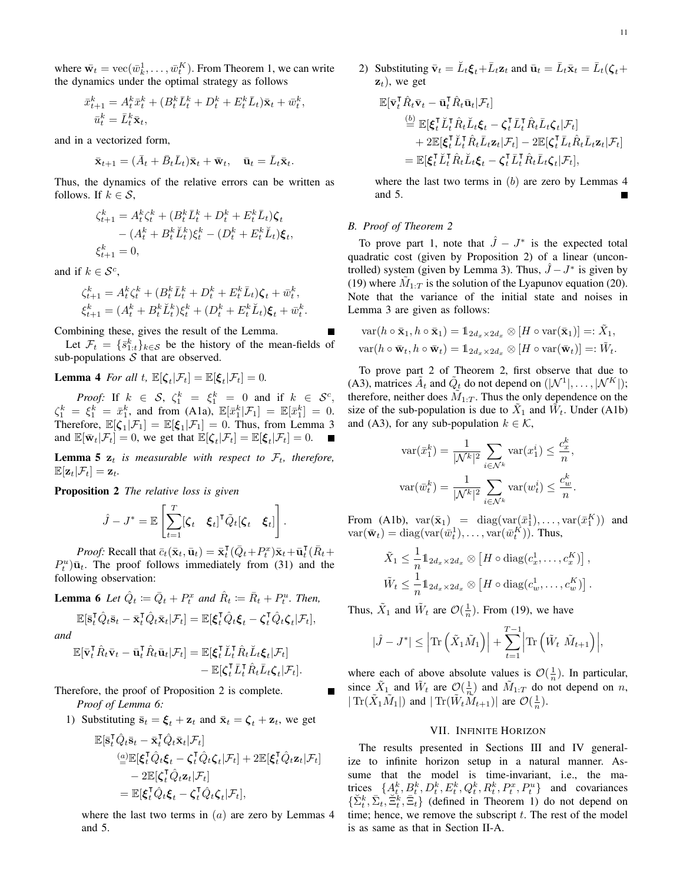where  $\bar{\mathbf{w}}_t = \text{vec}(\bar{w}_k^1, \dots, \bar{w}_t^K)$ . From Theorem 1, we can write the dynamics under the optimal strategy as follows

$$
\begin{aligned} \bar{x}_{t+1}^k &= A_t^k \bar{x}_t^k + (B_t^k \bar{L}_t^k + D_t^k + E_t^k \bar{L}_t) \bar{\mathbf{x}}_t + \bar{w}_t^k, \\ \bar{u}_t^k &= \bar{L}_t^k \bar{\mathbf{x}}_t, \end{aligned}
$$

and in a vectorized form,

$$
\bar{\mathbf{x}}_{t+1} = (\bar{A}_t + \bar{B}_t \bar{L}_t)\bar{\mathbf{x}}_t + \bar{\mathbf{w}}_t, \quad \bar{\mathbf{u}}_t = \bar{L}_t \bar{\mathbf{x}}_t.
$$

Thus, the dynamics of the relative errors can be written as follows. If  $k \in \mathcal{S}$ ,

$$
\begin{aligned} \zeta_{t+1}^k &= A_t^k \zeta_t^k + (B_t^k \bar{L}_t^k + D_t^k + E_t^k \bar{L}_t) \zeta_t \\ &- (A_t^k + B_t^k \breve{L}_t^k) \xi_t^k - (D_t^k + E_t^k \breve{L}_t) \xi_t, \\ \xi_{t+1}^k &= 0, \end{aligned}
$$

and if  $k \in \mathcal{S}^c$ ,

$$
\zeta_{t+1}^k = A_t^k \zeta_t^k + (B_t^k \bar{L}_t^k + D_t^k + E_t^k \bar{L}_t) \zeta_t + \bar{w}_t^k, \n\xi_{t+1}^k = (A_t^k + B_t^k \breve{L}_t^k) \xi_t^k + (D_t^k + E_t^k \breve{L}_t) \xi_t + \bar{w}_t^k.
$$

Combining these, gives the result of the Lemma.

Let  $\mathcal{F}_t = \{\bar{s}_{1:t}^k\}_{k \in \mathcal{S}}$  be the history of the mean-fields of sub-populations  $S$  that are observed.

**Lemma 4** *For all t,*  $\mathbb{E}[\zeta_t | \mathcal{F}_t] = \mathbb{E}[\xi_t | \mathcal{F}_t] = 0.$ 

*Proof:* If  $k \in S$ ,  $\zeta_1^k = \xi_1^k = 0$  and if  $k \in S^c$ ,  $\zeta_1^k = \xi_1^k = \bar{x}_1^k$ , and from (A1a),  $\mathbb{E}[\bar{x}_1^k | \mathcal{F}_1] = \mathbb{E}[\bar{x}_1^k] = 0$ . Therefore,  $\mathbb{E}[\zeta_1|\mathcal{F}_1] = \mathbb{E}[\xi_1|\mathcal{F}_1] = 0$ . Thus, from Lemma 3 and  $\mathbb{E}[\bar{\mathbf{w}}_t|\mathcal{F}_t] = 0$ , we get that  $\mathbb{E}[\zeta_t|\mathcal{F}_t] = \mathbb{E}[\xi_t|\mathcal{F}_t] = 0$ .

**Lemma 5**  $z_t$  *is measurable with respect to*  $\mathcal{F}_t$ *, therefore,*  $\mathbb{E}[\mathbf{z}_t|\mathcal{F}_t] = \mathbf{z}_t.$ 

Proposition 2 *The relative loss is given*

$$
\hat{J} - J^* = \mathbb{E}\left[\sum_{t=1}^T [\zeta_t \quad \xi_t]^\mathsf{T} \tilde{Q}_t[\zeta_t \quad \xi_t]\right].
$$

*Proof:* Recall that  $\bar{c}_t(\bar{\mathbf{x}}_t, \bar{\mathbf{u}}_t) = \bar{\mathbf{x}}_t^{\mathsf{T}}(\bar{Q}_t + P_t^x)\bar{\mathbf{x}}_t + \bar{\mathbf{u}}_t^{\mathsf{T}}(\bar{R}_t + P_t^x)$  $P_t^u$ ) $\bar{u}_t$ . The proof follows immediately from (31) and the following observation:

**Lemma 6** Let  $\hat{Q}_t := \bar{Q}_t + P_t^x$  and  $\hat{R}_t := \bar{R}_t + P_t^u$ . Then,

$$
\mathbb{E}[\bar{\mathbf{s}}_t^{\mathsf{T}}\hat{Q}_t\bar{\mathbf{s}}_t - \bar{\mathbf{x}}_t^{\mathsf{T}}\hat{Q}_t\bar{\mathbf{x}}_t|\mathcal{F}_t] = \mathbb{E}[\boldsymbol{\xi}_t^{\mathsf{T}}\hat{Q}_t\boldsymbol{\xi}_t - \boldsymbol{\zeta}_t^{\mathsf{T}}\hat{Q}_t\boldsymbol{\zeta}_t|\mathcal{F}_t],
$$
  
d

*an* 

$$
\mathbb{E}[\bar{\mathbf{v}}_t^{\mathsf{T}} \hat{R}_t \bar{\mathbf{v}}_t - \bar{\mathbf{u}}_t^{\mathsf{T}} \hat{R}_t \bar{\mathbf{u}}_t | \mathcal{F}_t] = \mathbb{E}[\boldsymbol{\xi}_t^{\mathsf{T}} \check{L}_t^{\mathsf{T}} \hat{R}_t \check{L}_t \boldsymbol{\xi}_t | \mathcal{F}_t] - \mathbb{E}[\boldsymbol{\zeta}_t^{\mathsf{T}} \bar{L}_t^{\mathsf{T}} \hat{R}_t \bar{L}_t \boldsymbol{\zeta}_t | \mathcal{F}_t].
$$

Therefore, the proof of Proposition 2 is complete. *Proof of Lemma 6:*

1) Substituting  $\bar{\mathbf{s}}_t = \boldsymbol{\xi}_t + \mathbf{z}_t$  and  $\bar{\mathbf{x}}_t = \boldsymbol{\zeta}_t + \mathbf{z}_t$ , we get

$$
\mathbb{E}[\bar{\mathbf{s}}_t^{\mathsf{T}}\hat{Q}_t\bar{\mathbf{s}}_t - \bar{\mathbf{x}}_t^{\mathsf{T}}\hat{Q}_t\bar{\mathbf{x}}_t|\mathcal{F}_t] \n\underline{\mathbb{E}}[\xi_t^{\mathsf{T}}\hat{Q}_t\xi_t - \zeta_t^{\mathsf{T}}\hat{Q}_t\zeta_t|\mathcal{F}_t] + 2\mathbb{E}[\xi_t^{\mathsf{T}}\hat{Q}_t\mathbf{z}_t|\mathcal{F}_t] \n- 2\mathbb{E}[\zeta_t^{\mathsf{T}}\hat{Q}_t\mathbf{z}_t|\mathcal{F}_t] \n= \mathbb{E}[\xi_t^{\mathsf{T}}\hat{Q}_t\xi_t - \zeta_t^{\mathsf{T}}\hat{Q}_t\zeta_t|\mathcal{F}_t],
$$

where the last two terms in  $(a)$  are zero by Lemmas 4 and 5.

2) Substituting  $\bar{\mathbf{v}}_t = \breve{L}_t \boldsymbol{\xi}_t + \bar{L}_t \mathbf{z}_t$  and  $\bar{\mathbf{u}}_t = \bar{L}_t \bar{\mathbf{x}}_t = \bar{L}_t(\boldsymbol{\zeta}_t + \boldsymbol{\zeta}_t)$  $z_t$ ), we get

$$
\mathbb{E}[\bar{\mathbf{v}}_t^{\mathsf{T}} \hat{R}_t \bar{\mathbf{v}}_t - \bar{\mathbf{u}}_t^{\mathsf{T}} \hat{R}_t \bar{\mathbf{u}}_t | \mathcal{F}_t] \n\stackrel{(b)}{=} \mathbb{E}[\xi_t^{\mathsf{T}} \check{L}_t^{\mathsf{T}} \hat{R}_t \check{L}_t \xi_t - \zeta_t^{\mathsf{T}} \bar{L}_t^{\mathsf{T}} \hat{R}_t \bar{L}_t \zeta_t | \mathcal{F}_t] \n+ 2 \mathbb{E}[\xi_t^{\mathsf{T}} \check{L}_t^{\mathsf{T}} \hat{R}_t \bar{L}_t \mathbf{z}_t | \mathcal{F}_t] - 2 \mathbb{E}[\zeta_t^{\mathsf{T}} \bar{L}_t \hat{R}_t \bar{L}_t \mathbf{z}_t | \mathcal{F}_t] \n= \mathbb{E}[\xi_t^{\mathsf{T}} \check{L}_t^{\mathsf{T}} \hat{R}_t \check{L}_t \xi_t - \zeta_t^{\mathsf{T}} \bar{L}_t^{\mathsf{T}} \hat{R}_t \bar{L}_t \zeta_t | \mathcal{F}_t],
$$

where the last two terms in  $(b)$  are zero by Lemmas 4 and 5.

#### *B. Proof of Theorem 2*

To prove part 1, note that  $\hat{J} - J^*$  is the expected total quadratic cost (given by Proposition 2) of a linear (uncontrolled) system (given by Lemma 3). Thus,  $\hat{J} - J^*$  is given by (19) where  $\tilde{M}_{1:T}$  is the solution of the Lyapunov equation (20). Note that the variance of the initial state and noises in Lemma 3 are given as follows:

$$
\operatorname{var}(h \circ \bar{\mathbf{x}}_1, h \circ \bar{\mathbf{x}}_1) = \mathbb{1}_{2d_x \times 2d_x} \otimes [H \circ \operatorname{var}(\bar{\mathbf{x}}_1)] =: \tilde{X}_1,
$$
  

$$
\operatorname{var}(h \circ \bar{\mathbf{w}}_t, h \circ \bar{\mathbf{w}}_t) = \mathbb{1}_{2d_x \times 2d_x} \otimes [H \circ \operatorname{var}(\bar{\mathbf{w}}_t)] =: \tilde{W}_t.
$$

To prove part 2 of Theorem 2, first observe that due to (A3), matrices  $\tilde{A}_t$  and  $\tilde{Q}_t$  do not depend on  $(|\mathcal{N}^1|, \dots, |\mathcal{N}^K|);$ therefore, neither does  $\tilde{M}_{1:T}$ . Thus the only dependence on the size of the sub-population is due to  $\tilde{X}_1$  and  $\tilde{W}_t$ . Under (A1b) and (A3), for any sub-population  $k \in \mathcal{K}$ ,

$$
\operatorname{var}(\bar{x}_1^k) = \frac{1}{|\mathcal{N}^k|^2} \sum_{i \in \mathcal{N}^k} \operatorname{var}(x_1^i) \le \frac{c_x^k}{n},
$$

$$
\operatorname{var}(\bar{w}_t^k) = \frac{1}{|\mathcal{N}^k|^2} \sum_{i \in \mathcal{N}^k} \operatorname{var}(w_t^i) \le \frac{c_w^k}{n}.
$$

From (A1b),  $var(\bar{x}_1)$  = diag( $var(\bar{x}_1^1), \ldots, var(\bar{x}_1^K)$ ) and  $var(\bar{\mathbf{w}}_t) = \text{diag}(\text{var}(\bar{w}_t^1), \dots, \text{var}(\bar{w}_t^K)).$  Thus,

$$
\tilde{X}_1 \leq \frac{1}{n} \mathbb{1}_{2d_x \times 2d_x} \otimes [H \circ \text{diag}(c_x^1, \dots, c_x^K)],
$$
  

$$
\tilde{W}_t \leq \frac{1}{n} \mathbb{1}_{2d_x \times 2d_x} \otimes [H \circ \text{diag}(c_w^1, \dots, c_w^K)].
$$

Thus,  $\tilde{X}_1$  and  $\tilde{W}_t$  are  $\mathcal{O}(\frac{1}{n})$ . From (19), we have

$$
|\hat{J} - J^*| \leq |\text{Tr}(\tilde{X}_1 \tilde{M}_1)| + \sum_{t=1}^{T-1} |\text{Tr}(\tilde{W}_t \tilde{M}_{t+1})|,
$$

where each of above absolute values is  $\mathcal{O}(\frac{1}{n})$ . In particular, since  $\tilde{X}_1$  and  $\tilde{W}_t$  are  $\mathcal{O}(\frac{1}{n})$  and  $\tilde{M}_{1:T}$  do not depend on n,  $|\operatorname{Tr}(\tilde{X}_1\tilde{M}_1|)$  and  $|\operatorname{Tr}(\tilde{W}_t\tilde{M}_{t+1})|$  are  $\mathcal{O}(\frac{1}{n})$ .

# VII. INFINITE HORIZON

The results presented in Sections III and IV generalize to infinite horizon setup in a natural manner. Assume that the model is time-invariant, i.e., the matrices  $\{A_t^k, B_t^k, D_t^k, E_t^k, Q_t^k, R_t^k, P_t^x, P_t^u\}$  and covariances  $\{\Sigma_t^k, \overline{\Sigma}_t, \overline{\Xi}_t\}$  (defined in Theorem 1) do not depend on time; hence, we remove the subscript  $t$ . The rest of the model is as same as that in Section II-A.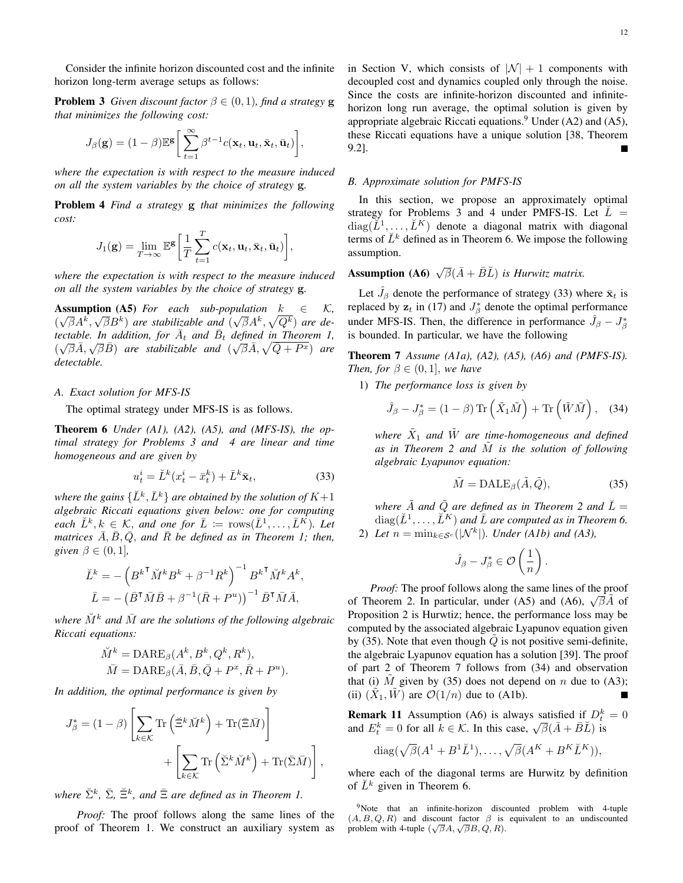Consider the infinite horizon discounted cost and the infinite horizon long-term average setups as follows:

**Problem 3** *Given discount factor*  $\beta \in (0,1)$ *, find a strategy* **g** *that minimizes the following cost:*

$$
J_{\beta}(\mathbf{g}) = (1-\beta)\mathbb{E}^{\mathbf{g}} \bigg[\sum_{t=1}^{\infty} \beta^{t-1} c(\mathbf{x}_t, \mathbf{u}_t, \bar{\mathbf{x}}_t, \bar{\mathbf{u}}_t)\bigg],
$$

*where the expectation is with respect to the measure induced on all the system variables by the choice of strategy* g*.*

Problem 4 *Find a strategy* g *that minimizes the following cost:*

$$
J_1(\mathbf{g}) = \lim_{T \to \infty} \mathbb{E}^{\mathbf{g}} \left[ \frac{1}{T} \sum_{t=1}^T c(\mathbf{x}_t, \mathbf{u}_t, \bar{\mathbf{x}}_t, \bar{\mathbf{u}}_t) \right],
$$

*where the expectation is with respect to the measure induced on all the system variables by the choice of strategy* g*.*

**Assumption** (A5) *For each sub-population*  $k \in K$ ,  $(\sqrt{\beta}A^k, \sqrt{\beta}B^k)$  are stabilizable and  $(\sqrt{\beta}A^k, \sqrt{Q^k})$  are detectable. In addition, for  $\overline{A}_t$  and  $\overline{B}_t$  defined in Theorem 1,  $(\sqrt{\beta} \overline{A}, \sqrt{\beta} \overline{B})$  *are stabilizable and*  $(\sqrt{\beta} \overline{A}, \sqrt{\overline{Q} + P^x})$  *are detectable.*

#### *A. Exact solution for MFS-IS*

The optimal strategy under MFS-IS is as follows.

Theorem 6 *Under (A1), (A2), (A5), and (MFS-IS), the optimal strategy for Problems 3 and 4 are linear and time homogeneous and are given by*

$$
u_t^i = \breve{L}^k(x_t^i - \bar{x}_t^k) + \bar{L}^k \bar{\mathbf{x}}_t,\tag{33}
$$

where the gains  $\{\breve{L}^k,\bar{L}^k\}$  are obtained by the solution of  $K+1$ *algebraic Riccati equations given below: one for computing each*  $\check{L}^k, k \in \mathcal{K}$ , *and one for*  $\bar{L} := \text{rows}(\bar{L}^1, \ldots, \bar{L}^K)$ *. Let matrices*  $\overline{A}$ ,  $\overline{B}$ ,  $\overline{Q}$ , and  $\overline{R}$  be defined as in Theorem 1; then, *given*  $\beta \in (0, 1]$ *,* 

$$
\check{L}^k = -\left(B^{k\mathsf{T}}\check{M}^k B^k + \beta^{-1} R^k\right)^{-1} B^{k\mathsf{T}} \check{M}^k A^k,
$$

$$
\bar{L} = -\left(\bar{B}^{\mathsf{T}}\bar{M}\bar{B} + \beta^{-1}(\bar{R} + P^u)\right)^{-1} \bar{B}^{\mathsf{T}}\bar{M}\bar{A},
$$

*where*  $\check{M}^k$  *and*  $\bar{M}$  *are the solutions of the following algebraic Riccati equations:*

$$
\tilde{M}^k = \text{DARE}_{\beta}(A^k, B^k, Q^k, R^k), \n\tilde{M} = \text{DARE}_{\beta}(\bar{A}, \bar{B}, \bar{Q} + P^x, \bar{R} + P^u).
$$

*In addition, the optimal performance is given by*

$$
J_{\beta}^{*} = (1 - \beta) \left[ \sum_{k \in \mathcal{K}} \text{Tr} \left( \breve{\Xi}^{k} \breve{M}^{k} \right) + \text{Tr}(\bar{\Xi} \bar{M}) \right] + \left[ \sum_{k \in \mathcal{K}} \text{Tr} \left( \breve{\Sigma}^{k} \breve{M}^{k} \right) + \text{Tr}(\bar{\Sigma} \bar{M}) \right],
$$

 $\forall$  *where*  $\check{\Sigma}^k$ ,  $\bar{\Sigma}$ ,  $\check{\Xi}^k$ , and  $\bar{\Xi}$  are defined as in Theorem 1.

*Proof:* The proof follows along the same lines of the proof of Theorem 1. We construct an auxiliary system as in Section V, which consists of  $|\mathcal{N}| + 1$  components with decoupled cost and dynamics coupled only through the noise. Since the costs are infinite-horizon discounted and infinitehorizon long run average, the optimal solution is given by appropriate algebraic Riccati equations.<sup>9</sup> Under  $(A2)$  and  $(A5)$ , these Riccati equations have a unique solution [38, Theorem 9.2].

#### *B. Approximate solution for PMFS-IS*

In this section, we propose an approximately optimal strategy for Problems 3 and 4 under PMFS-IS. Let  $\check{L}$  =  $diag(\breve{L}^1, \ldots, \breve{L}^K)$  denote a diagonal matrix with diagonal terms of  $\check{L}^k$  defined as in Theorem 6. We impose the following assumption.

# **Assumption** (**A6**)  $\sqrt{\beta}(\bar{A} + \bar{B}\breve{L})$  *is Hurwitz matrix.*

Let  $\hat{J}_{\beta}$  denote the performance of strategy (33) where  $\bar{\mathbf{x}}_t$  is replaced by  $z_t$  in (17) and  $J^*_{\beta}$  denote the optimal performance under MFS-IS. Then, the difference in performance  $\hat{J}_{\beta} - J_{\beta}^*$ is bounded. In particular, we have the following

Theorem 7 *Assume (A1a), (A2), (A5), (A6) and (PMFS-IS). Then, for*  $\beta \in (0,1]$ *, we have* 

1) *The performance loss is given by*

$$
\hat{J}_{\beta} - J_{\beta}^* = (1 - \beta) \operatorname{Tr} \left( \tilde{X}_1 \tilde{M} \right) + \operatorname{Tr} \left( \tilde{W} \tilde{M} \right), \quad (34)
$$

where  $\tilde{X}_1$  and  $\tilde{W}$  are time-homogeneous and defined as in Theorem 2 and  $\tilde{M}$  is the solution of following *algebraic Lyapunov equation:*

$$
\tilde{M} = \text{DALE}_{\beta}(\tilde{A}, \tilde{Q}),\tag{35}
$$

*where*  $\tilde{A}$  *and*  $\tilde{Q}$  *are defined as in Theorem 2 and*  $\tilde{L} =$  $diag(\breve{L}^1, \ldots, \breve{L}^K)$  and  $\bar{L}$  are computed as in Theorem 6. 2) Let  $n = \min_{k \in \mathcal{S}^c}(|\mathcal{N}^k|)$ . Under (A1b) and (A3),

$$
\hat{J}_{\beta}-J_{\beta}^*\in \mathcal{O}\left(\frac{1}{n}\right).
$$

*Proof:* The proof follows along the same lines of the proof of Theorem 2. In particular, under (A5) and (A6),  $\sqrt{\beta}\tilde{A}$  of Proposition 2 is Hurwtiz; hence, the performance loss may be computed by the associated algebraic Lyapunov equation given by (35). Note that even though  $Q$  is not positive semi-definite, the algebraic Lyapunov equation has a solution [39]. The proof of part 2 of Theorem 7 follows from (34) and observation that (i)  $\tilde{M}$  given by (35) does not depend on n due to (A3); (ii)  $(\tilde{X}_1, \tilde{W})$  are  $\mathcal{O}(1/n)$  due to (A1b).

**Remark 11** Assumption (A6) is always satisfied if  $D_t^k = 0$ and  $E_t^k = 0$  for all  $k \in \mathcal{K}$ . In this case,  $\sqrt{\beta}(\bar{A} + \bar{B}\bar{L})$  is

$$
\text{diag}(\sqrt{\beta}(A^1 + B^1 \check{L}^1), \dots, \sqrt{\beta}(A^K + B^K \check{L}^K)),
$$

where each of the diagonal terms are Hurwitz by definition of  $\check{L}^k$  given in Theorem 6.

<sup>9</sup>Note that an infinite-horizon discounted problem with 4-tuple  $(A, B, Q, R)$  and discount factor  $\beta$  is equivalent to an undiscounted problem with 4-tuple  $(\sqrt{\beta}A, \sqrt{\beta}B, Q, R)$ .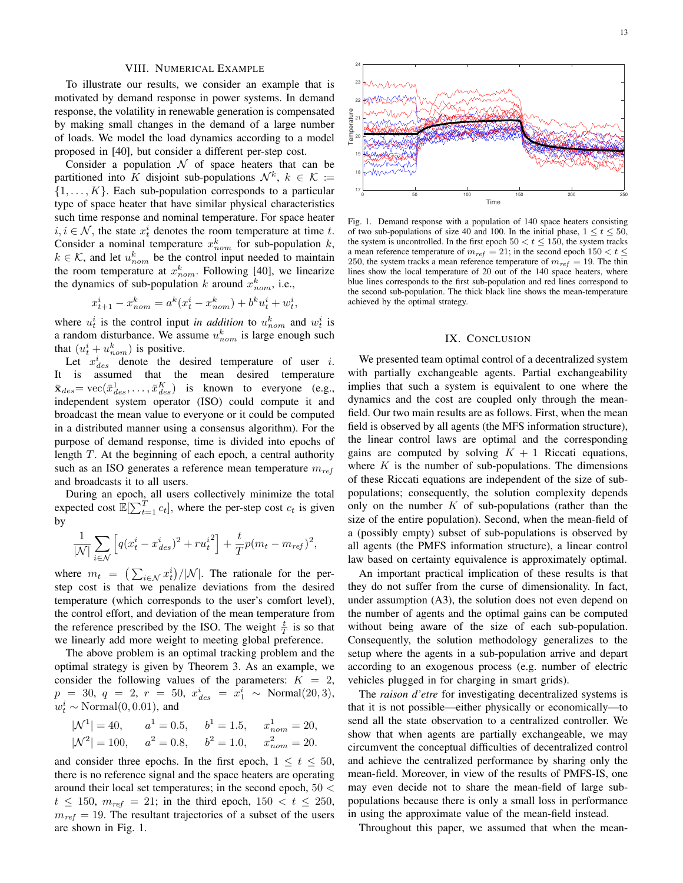#### VIII. NUMERICAL EXAMPLE

To illustrate our results, we consider an example that is motivated by demand response in power systems. In demand response, the volatility in renewable generation is compensated by making small changes in the demand of a large number of loads. We model the load dynamics according to a model proposed in [40], but consider a different per-step cost.

Consider a population  $\mathcal N$  of space heaters that can be partitioned into K disjoint sub-populations  $\mathcal{N}^k$ ,  $k \in \mathcal{K} \coloneqq$  $\{1, \ldots, K\}$ . Each sub-population corresponds to a particular type of space heater that have similar physical characteristics such time response and nominal temperature. For space heater  $i, i \in \mathcal{N}$ , the state  $x_t^i$  denotes the room temperature at time t. Consider a nominal temperature  $x_{nom}^k$  for sub-population  $k$ ,  $k \in \mathcal{K}$ , and let  $u_{nom}^k$  be the control input needed to maintain the room temperature at  $x_{nom}^k$ . Following [40], we linearize the dynamics of sub-population k around  $x_{nom}^k$ , i.e.,

$$
x_{t+1}^i - x_{nom}^k = a^k (x_t^i - x_{nom}^k) + b^k u_t^i + w_t^i,
$$

where  $u_t^i$  is the control input *in addition* to  $u_{nom}^k$  and  $w_t^i$  is a random disturbance. We assume  $u_{nom}^k$  is large enough such that  $(u_t^i + u_{nom}^k)$  is positive.

Let  $x_{des}^i$  denote the desired temperature of user i. It is assumed that the mean desired temperature  $\bar{\mathbf{x}}_{des} = \text{vec}(\bar{x}_{des}^1, \dots, \bar{x}_{des}^K)$  is known to everyone (e.g., independent system operator (ISO) could compute it and broadcast the mean value to everyone or it could be computed in a distributed manner using a consensus algorithm). For the purpose of demand response, time is divided into epochs of length  $T$ . At the beginning of each epoch, a central authority such as an ISO generates a reference mean temperature  $m_{ref}$ and broadcasts it to all users.

During an epoch, all users collectively minimize the total expected cost  $\mathbb{E}[\sum_{t=1}^T c_t]$ , where the per-step cost  $c_t$  is given by

$$
\frac{1}{|\mathcal{N}|} \sum_{i \in \mathcal{N}} \left[ q(x_t^i - x_{des}^i)^2 + r u_t^{i^2} \right] + \frac{t}{T} p(m_t - m_{ref})^2,
$$

where  $m_t = (\sum_{i \in \mathcal{N}} x_i^i)/|\mathcal{N}|$ . The rationale for the perstep cost is that we penalize deviations from the desired temperature (which corresponds to the user's comfort level), the control effort, and deviation of the mean temperature from the reference prescribed by the ISO. The weight  $\frac{t}{T}$  is so that we linearly add more weight to meeting global preference.

The above problem is an optimal tracking problem and the optimal strategy is given by Theorem 3. As an example, we consider the following values of the parameters:  $K = 2$ ,  $p = 30, q = 2, r = 50, x_{des}^i = x_1^i \sim \text{Normal}(20, 3),$  $w_t^i \sim \text{Normal}(0, 0.01)$ , and

$$
|\mathcal{N}^1| = 40
$$
,  $a^1 = 0.5$ ,  $b^1 = 1.5$ ,  $x_{nom}^1 = 20$ ,  
\n $|\mathcal{N}^2| = 100$ ,  $a^2 = 0.8$ ,  $b^2 = 1.0$ ,  $x_{nom}^2 = 20$ .

and consider three epochs. In the first epoch,  $1 \le t \le 50$ , there is no reference signal and the space heaters are operating around their local set temperatures; in the second epoch,  $50 <$  $t \le 150$ ,  $m_{ref} = 21$ ; in the third epoch,  $150 < t \le 250$ ,  $m_{ref} = 19$ . The resultant trajectories of a subset of the users are shown in Fig. 1.



Fig. 1. Demand response with a population of 140 space heaters consisting of two sub-populations of size 40 and 100. In the initial phase,  $1 \le t \le 50$ , the system is uncontrolled. In the first epoch  $50 < t \le 150$ , the system tracks a mean reference temperature of  $m_{ref} = 21$ ; in the second epoch  $150 < t \leq$ 250, the system tracks a mean reference temperature of  $m_{ref} = 19$ . The thin lines show the local temperature of 20 out of the 140 space heaters, where blue lines corresponds to the first sub-population and red lines correspond to the second sub-population. The thick black line shows the mean-temperature achieved by the optimal strategy.

#### IX. CONCLUSION

We presented team optimal control of a decentralized system with partially exchangeable agents. Partial exchangeability implies that such a system is equivalent to one where the dynamics and the cost are coupled only through the meanfield. Our two main results are as follows. First, when the mean field is observed by all agents (the MFS information structure), the linear control laws are optimal and the corresponding gains are computed by solving  $K + 1$  Riccati equations, where  $K$  is the number of sub-populations. The dimensions of these Riccati equations are independent of the size of subpopulations; consequently, the solution complexity depends only on the number  $K$  of sub-populations (rather than the size of the entire population). Second, when the mean-field of a (possibly empty) subset of sub-populations is observed by all agents (the PMFS information structure), a linear control law based on certainty equivalence is approximately optimal.

An important practical implication of these results is that they do not suffer from the curse of dimensionality. In fact, under assumption (A3), the solution does not even depend on the number of agents and the optimal gains can be computed without being aware of the size of each sub-population. Consequently, the solution methodology generalizes to the setup where the agents in a sub-population arrive and depart according to an exogenous process (e.g. number of electric vehicles plugged in for charging in smart grids).

The *raison d'etre* for investigating decentralized systems is that it is not possible—either physically or economically—to send all the state observation to a centralized controller. We show that when agents are partially exchangeable, we may circumvent the conceptual difficulties of decentralized control and achieve the centralized performance by sharing only the mean-field. Moreover, in view of the results of PMFS-IS, one may even decide not to share the mean-field of large subpopulations because there is only a small loss in performance in using the approximate value of the mean-field instead.

Throughout this paper, we assumed that when the mean-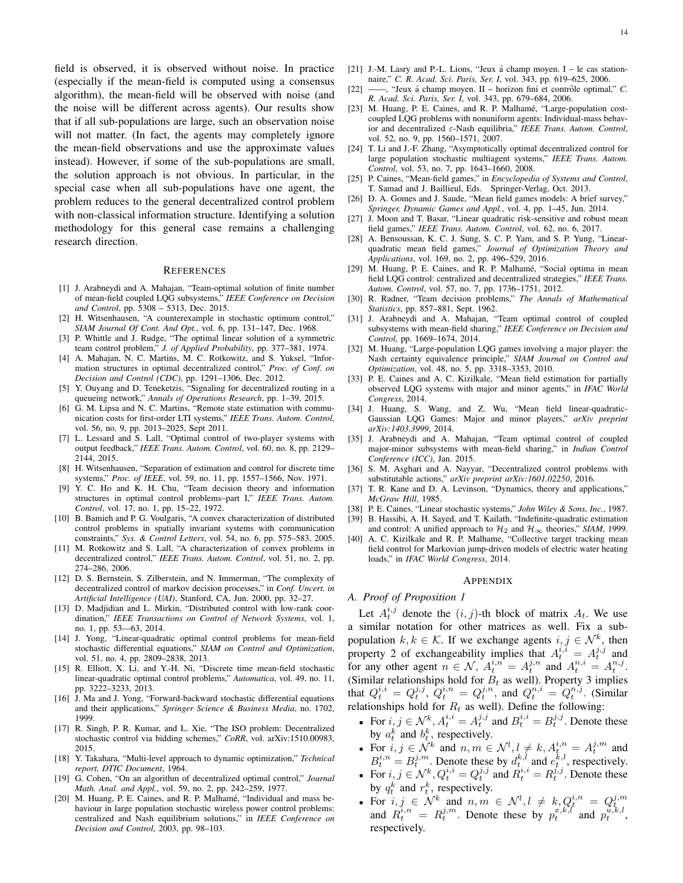field is observed, it is observed without noise. In practice (especially if the mean-field is computed using a consensus algorithm), the mean-field will be observed with noise (and the noise will be different across agents). Our results show that if all sub-populations are large, such an observation noise will not matter. (In fact, the agents may completely ignore the mean-field observations and use the approximate values instead). However, if some of the sub-populations are small, the solution approach is not obvious. In particular, in the special case when all sub-populations have one agent, the problem reduces to the general decentralized control problem with non-classical information structure. Identifying a solution methodology for this general case remains a challenging research direction.

#### **REFERENCES**

- [1] J. Arabneydi and A. Mahajan, "Team-optimal solution of finite number of mean-field coupled LQG subsystems," *IEEE Conference on Decision and Control*, pp. 5308 – 5313, Dec. 2015.
- [2] H. Witsenhausen, "A counterexample in stochastic optimum control," *SIAM Journal Of Cont. And Opt.*, vol. 6, pp. 131–147, Dec. 1968.
- [3] P. Whittle and J. Rudge, "The optimal linear solution of a symmetric team control problem," *J. of Applied Probability*, pp. 377–381, 1974.
- [4] A. Mahajan, N. C. Martins, M. C. Rotkowitz, and S. Yuksel, "Information structures in optimal decentralized control," *Proc. of Conf. on Decision and Control (CDC)*, pp. 1291–1306, Dec. 2012.
- [5] Y. Ouyang and D. Teneketzis, "Signaling for decentralized routing in a queueing network," *Annals of Operations Research*, pp. 1–39, 2015.
- [6] G. M. Lipsa and N. C. Martins, "Remote state estimation with communication costs for first-order LTI systems," *IEEE Trans. Autom. Control*, vol. 56, no. 9, pp. 2013–2025, Sept 2011.
- [7] L. Lessard and S. Lall, "Optimal control of two-player systems with output feedback," *IEEE Trans. Autom. Control*, vol. 60, no. 8, pp. 2129– 2144, 2015.
- [8] H. Witsenhausen, "Separation of estimation and control for discrete time systems," *Proc. of IEEE*, vol. 59, no. 11, pp. 1557–1566, Nov. 1971.
- [9] Y. C. Ho and K. H. Chu, "Team decision theory and information structures in optimal control problems–part I," *IEEE Trans. Autom. Control*, vol. 17, no. 1, pp. 15–22, 1972.
- [10] B. Bamieh and P. G. Voulgaris, "A convex characterization of distributed control problems in spatially invariant systems with communication constraints," *Sys. & Control Letters*, vol. 54, no. 6, pp. 575–583, 2005.
- [11] M. Rotkowitz and S. Lall, "A characterization of convex problems in decentralized control," *IEEE Trans. Autom. Control*, vol. 51, no. 2, pp. 274–286, 2006.
- [12] D. S. Bernstein, S. Zilberstein, and N. Immerman, "The complexity of decentralized control of markov decision processes," in *Conf. Uncert. in Artificial Intelligence (UAI)*, Stanford, CA, Jun. 2000, pp. 32–27.
- [13] D. Madjidian and L. Mirkin, "Distributed control with low-rank coordination," *IEEE Transactions on Control of Network Systems*, vol. 1, no. 1, pp. 53––63, 2014.
- [14] J. Yong, "Linear-quadratic optimal control problems for mean-field stochastic differential equations," *SIAM on Control and Optimization*, vol. 51, no. 4, pp. 2809–2838, 2013.
- [15] R. Elliott, X. Li, and Y.-H. Ni, "Discrete time mean-field stochastic linear-quadratic optimal control problems," *Automatica*, vol. 49, no. 11, pp. 3222–3233, 2013.
- [16] J. Ma and J. Yong, "Forward-backward stochastic differential equations and their applications," *Springer Science & Business Media*, no. 1702, 1999.
- [17] R. Singh, P. R. Kumar, and L. Xie, "The ISO problem: Decentralized stochastic control via bidding schemes," *CoRR*, vol. arXiv:1510.00983, 2015.
- [18] Y. Takahara, "Multi-level approach to dynamic optimization," *Technical report, DTIC Document*, 1964.
- [19] G. Cohen, "On an algorithm of decentralized optimal control," *Journal Math. Anal. and Appl.*, vol. 59, no. 2, pp. 242–259, 1977.
- [20] M. Huang, P. E. Caines, and R. P. Malhamé, "Individual and mass behaviour in large population stochastic wireless power control problems: centralized and Nash equilibrium solutions," in *IEEE Conference on Decision and Control*, 2003, pp. 98–103.
- [21] J.-M. Lasry and P.-L. Lions, "Jeux á champ moyen.  $I le$  cas stationnaire," *C. R. Acad. Sci. Paris, Ser. I*, vol. 343, pp. 619–625, 2006.
- [22] ——, "Jeux á champ moyen. II horizon fini et contrôle optimal," *C*. *R. Acad. Sci. Paris, Ser. I*, vol. 343, pp. 679–684, 2006.
- [23] M. Huang, P. E. Caines, and R. P. Malhamé, "Large-population costcoupled LQG problems with nonuniform agents: Individual-mass behavior and decentralized ε-Nash equilibria," *IEEE Trans. Autom. Control*, vol. 52, no. 9, pp. 1560–1571, 2007.
- [24] T. Li and J.-F. Zhang, "Asymptotically optimal decentralized control for large population stochastic multiagent systems," *IEEE Trans. Autom. Control*, vol. 53, no. 7, pp. 1643–1660, 2008.
- [25] P. Caines, "Mean-field games," in *Encyclopedia of Systems and Control*, T. Samad and J. Baillieul, Eds. Springer-Verlag, Oct. 2013.
- [26] D. A. Gomes and J. Saude, "Mean field games models: A brief survey," *Springer, Dynamic Games and Appl.*, vol. 4, pp. 1–45, Jun. 2014.
- [27] J. Moon and T. Basar, "Linear quadratic risk-sensitive and robust mean field games," *IEEE Trans. Autom. Control*, vol. 62, no. 6, 2017.
- [28] A. Bensoussan, K. C. J. Sung, S. C. P. Yam, and S. P. Yung, "Linearquadratic mean field games," *Journal of Optimization Theory and Applications*, vol. 169, no. 2, pp. 496–529, 2016.
- [29] M. Huang, P. E. Caines, and R. P. Malhamé, "Social optima in mean field LQG control: centralized and decentralized strategies," *IEEE Trans. Autom. Control*, vol. 57, no. 7, pp. 1736–1751, 2012.
- [30] R. Radner, "Team decision problems," *The Annals of Mathematical Statistics*, pp. 857–881, Sept. 1962.
- [31] J. Arabneydi and A. Mahajan, "Team optimal control of coupled subsystems with mean-field sharing," *IEEE Conference on Decision and Control*, pp. 1669–1674, 2014.
- [32] M. Huang, "Large-population LQG games involving a major player: the Nash certainty equivalence principle," *SIAM Journal on Control and Optimization*, vol. 48, no. 5, pp. 3318–3353, 2010.
- [33] P. E. Caines and A. C. Kizilkale, "Mean field estimation for partially observed LQG systems with major and minor agents," in *IFAC World Congress*, 2014.
- [34] J. Huang, S. Wang, and Z. Wu, "Mean field linear-quadratic-Gaussian LQG Games: Major and minor players," *arXiv preprint arXiv:1403.3999*, 2014.
- [35] J. Arabneydi and A. Mahajan, "Team optimal control of coupled major-minor subsystems with mean-field sharing," in *Indian Control Conference (ICC)*, Jan. 2015.
- [36] S. M. Asghari and A. Nayyar, "Decentralized control problems with substitutable actions," *arXiv preprint arXiv:1601.02250*, 2016.
- [37] T. R. Kane and D. A. Levinson, "Dynamics, theory and applications," *McGraw Hill*, 1985.
- [38] P. E. Caines, "Linear stochastic systems," *John Wiley & Sons, Inc.*, 1987. [39] B. Hassibi, A. H. Sayed, and T. Kailath, "Indefinite-quadratic estimation
- and control: A unified approach to  $\mathcal{H}_2$  and  $\mathcal{H}_{\infty}$  theories," *SIAM*, 1999. A. C. Kizilkale and R. P. Malhame, "Collective target tracking mean field control for Markovian jump-driven models of electric water heating loads," in *IFAC World Congress*, 2014.

#### APPENDIX

#### *A. Proof of Proposition 1*

Let  $A_t^{i,j}$  denote the  $(i, j)$ -th block of matrix  $A_t$ . We use a similar notation for other matrices as well. Fix a subpopulation  $k, k \in \mathcal{K}$ . If we exchange agents  $i, j \in \mathcal{N}^k$ , then property 2 of exchangeability implies that  $A_t^{i,i} = A_t^{j,j}$  and for any other agent  $n \in \mathcal{N}$ ,  $A_t^{i,n} = A_t^{j,n}$  and  $A_t^{n,i} = A_t^{n,j}$ . (Similar relationships hold for  $B_t$  as well). Property 3 implies that  $Q_t^{i,i} = Q_t^{j,j}, \ Q_t^{i,n} = Q_t^{j,n}, \ \text{and} \ \ Q_t^{n,i} = Q_t^{n,j}.$  (Similar relationships hold for  $R_t$  as well). Define the following:

- For  $i, j \in \mathcal{N}_t^k$ ,  $A_t^{i,i} = A_t^{j,j}$  and  $B_t^{i,i} = B_t^{j,j}$ . Denote these by  $a_t^k$  and  $b_t^k$ , respectively.
- For  $i, j \in \mathcal{N}^k$  and  $n, m \in \mathcal{N}^l, l \neq k, A^{i, n}_{t, l} = A^{j, m}_{t}$  and  $B_t^{i,n} = B_t^{j,m}$ . Denote these by  $d_t^{k,l}$  and  $e_t^{k,l}$ , respectively.
- For  $i, j \in \mathcal{N}_t^k$ ,  $Q_t^{i,i} = Q_t^{j,j}$  and  $R_t^{i,i} = R_t^{j,j}$ . Denote these by  $q_t^k$  and  $r_t^k$ , respectively.
- For  $i, j \in \mathcal{N}^k$  and  $n, m \in \mathcal{N}^l, l \neq k, Q_t^{i,n} = Q_t^{j,m}$ <br>and  $R_t^{i,n} = R_t^{j,m}$ . Denote these by  $p_t^{x, k, l}$  and  $p_t^{u, k, l}$ , respectively.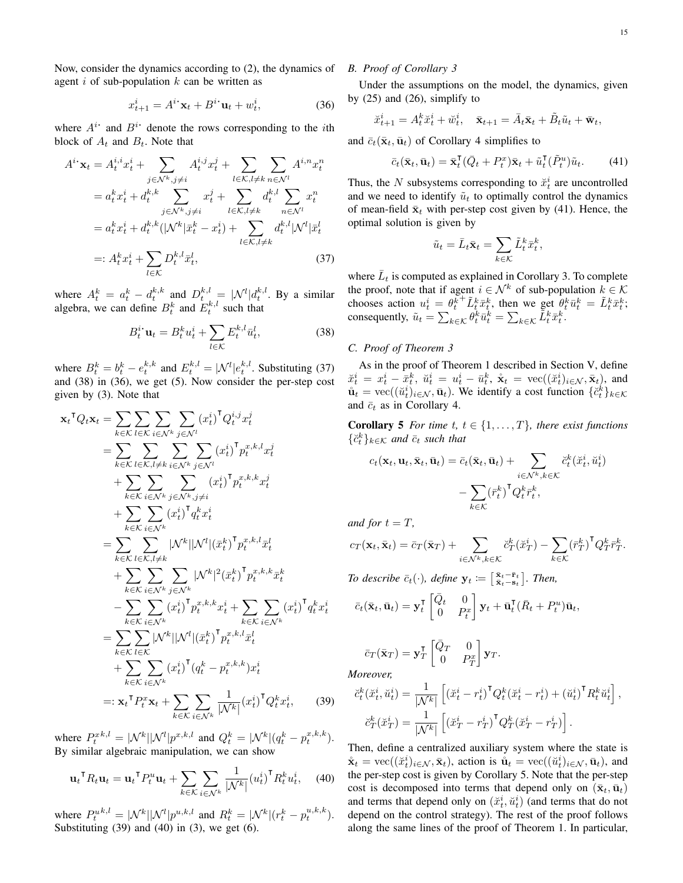Now, consider the dynamics according to (2), the dynamics of agent i of sub-population  $k$  can be written as

$$
x_{t+1}^i = A^{i \cdot} \mathbf{x}_t + B^{i \cdot} \mathbf{u}_t + w_t^i, \tag{36}
$$

where  $A^{i}$  and  $B^{i}$  denote the rows corresponding to the *i*th block of  $A_t$  and  $B_t$ . Note that

$$
A^{i \cdot} \mathbf{x}_{t} = A_{t}^{i,i} x_{t}^{i} + \sum_{j \in \mathcal{N}^{k}, j \neq i} A_{t}^{i,j} x_{t}^{j} + \sum_{l \in \mathcal{K}, l \neq k} \sum_{n \in \mathcal{N}^{l}} A_{i}^{i,n} x_{t}^{n}
$$

$$
= a_{t}^{k} x_{t}^{i} + a_{t}^{k,k} \sum_{j \in \mathcal{N}^{k}, j \neq i} x_{t}^{j} + \sum_{l \in \mathcal{K}, l \neq k} a_{t}^{k,l} \sum_{n \in \mathcal{N}^{l}} x_{t}^{n}
$$

$$
= a_{t}^{k} x_{t}^{i} + a_{t}^{k,k} (|\mathcal{N}^{k}| \bar{x}_{t}^{k} - x_{t}^{i}) + \sum_{l \in \mathcal{K}, l \neq k} a_{t}^{k,l} |\mathcal{N}^{l}| \bar{x}_{t}^{l}
$$

$$
=: A_{t}^{k} x_{t}^{i} + \sum_{l \in \mathcal{K}} D_{t}^{k,l} \bar{x}_{t}^{l}, \qquad (37)
$$

where  $A_t^k = a_t^k - d_t^{k,k}$  and  $D_t^{k,l} = |\mathcal{N}^l|d_t^{k,l}$ . By a similar algebra, we can define  $B_t^k$  and  $E_t^{k,l}$  such that

$$
B_t^i \mathbf{u}_t = B_t^k u_t^i + \sum_{l \in \mathcal{K}} E_t^{k,l} \bar{u}_t^l, \tag{38}
$$

where  $B_t^k = b_t^k - e_t^{k,k}$  and  $E_t^{k,l} = |\mathcal{N}^l| e_t^{k,l}$ . Substituting (37) and (38) in (36), we get (5). Now consider the per-step cost given by (3). Note that

$$
\mathbf{x}_{t}^{\mathsf{T}}Q_{t}\mathbf{x}_{t} = \sum_{k \in \mathcal{K}} \sum_{l \in \mathcal{K}} \sum_{i \in \mathcal{N}^{k}} \sum_{j \in \mathcal{N}^{l}} (x_{t}^{i})^{\mathsf{T}}Q_{t}^{i,j}x_{t}^{j}
$$
\n
$$
= \sum_{k \in \mathcal{K}} \sum_{l \in \mathcal{K}, l \neq k} \sum_{i \in \mathcal{N}^{k}} \sum_{j \in \mathcal{N}^{l}} (x_{t}^{i})^{\mathsf{T}}p_{t}^{x,k,l}x_{t}^{j}
$$
\n
$$
+ \sum_{k \in \mathcal{K}} \sum_{i \in \mathcal{N}^{k}} \sum_{j \in \mathcal{N}^{k}} (x_{t}^{i})^{\mathsf{T}}p_{t}^{x,k,k}x_{t}^{j}
$$
\n
$$
+ \sum_{k \in \mathcal{K}} \sum_{i \in \mathcal{N}^{k}} (x_{t}^{i})^{\mathsf{T}}q_{t}^{k}x_{t}^{i}
$$
\n
$$
= \sum_{k \in \mathcal{K}} \sum_{l \in \mathcal{K}, l \neq k} |\mathcal{N}^{k}||\mathcal{N}^{l}|(\bar{x}_{t}^{k})^{\mathsf{T}}p_{t}^{x,k,l}\bar{x}_{t}^{l}
$$
\n
$$
+ \sum_{k \in \mathcal{K}} \sum_{i \in \mathcal{N}^{k}} \sum_{j \in \mathcal{N}^{k}} |\mathcal{N}^{k}|^{2}(\bar{x}_{t}^{k})^{\mathsf{T}}p_{t}^{x,k,k}\bar{x}_{t}^{k}
$$
\n
$$
- \sum_{k \in \mathcal{K}} \sum_{i \in \mathcal{N}^{k}} (x_{t}^{i})^{\mathsf{T}}p_{t}^{x,k,k}x_{t}^{i} + \sum_{k \in \mathcal{K}} \sum_{i \in \mathcal{N}^{k}} (x_{t}^{i})^{\mathsf{T}}q_{t}^{k}x_{t}^{i}
$$
\n
$$
+ \sum_{k \in \mathcal{K}} \sum_{l \in \mathcal{N}^{k}} |\mathcal{N}^{k}||\mathcal{N}^{l}|(\bar{x}_{t}^{k})^{\mathsf{T}}p_{t}^{x,k,l}\bar{x}_{t}^{l}
$$
\n<math display="block</math>

where  $P_t^{x,k,l} = |\mathcal{N}^k| |\mathcal{N}^l| p^{x,k,l}$  and  $Q_t^k = |\mathcal{N}^k| (q_t^k - p_t^{x,k,k}).$ By similar algebraic manipulation, we can show

$$
\mathbf{u}_t^\mathsf{T} R_t \mathbf{u}_t = \mathbf{u}_t^\mathsf{T} P_t^u \mathbf{u}_t + \sum_{k \in \mathcal{K}} \sum_{i \in \mathcal{N}^k} \frac{1}{|\mathcal{N}^k|} (u_t^i)^\mathsf{T} R_t^k u_t^i, \quad (40)
$$

where  $P_t^{uk,l} = |\mathcal{N}^k| |\mathcal{N}^l| p^{u,k,l}$  and  $R_t^k = |\mathcal{N}^k| (r_t^k - p_t^{u,k,k}).$ Substituting  $(39)$  and  $(40)$  in  $(3)$ , we get  $(6)$ .

# *B. Proof of Corollary 3*

Under the assumptions on the model, the dynamics, given by (25) and (26), simplify to

$$
\ddot{x}_{t+1}^i = A_t^k \ddot{x}_t^i + \ddot{w}_t^i, \quad \bar{\mathbf{x}}_{t+1} = \bar{A}_t \bar{\mathbf{x}}_t + \tilde{B}_t \tilde{u}_t + \bar{\mathbf{w}}_t,
$$

and  $\bar{c}_t(\bar{\mathbf{x}}_t, \bar{\mathbf{u}}_t)$  of Corollary 4 simplifies to

$$
\bar{c}_t(\bar{\mathbf{x}}_t, \bar{\mathbf{u}}_t) = \bar{\mathbf{x}}_t^{\mathsf{T}}(\bar{Q}_t + P_t^x)\bar{\mathbf{x}}_t + \tilde{u}_t^{\mathsf{T}}(\tilde{P}_t^u)\tilde{u}_t.
$$
(41)

Thus, the N subsystems corresponding to  $\ddot{x}^i_t$  are uncontrolled and we need to identify  $\tilde{u}_t$  to optimally control the dynamics of mean-field  $\bar{\mathbf{x}}_t$  with per-step cost given by (41). Hence, the optimal solution is given by

$$
\tilde{u}_t = \bar{L}_t \bar{\mathbf{x}}_t = \sum_{k \in \mathcal{K}} \tilde{L}_t^k \bar{x}_t^k,
$$

where  $\bar{L}_t$  is computed as explained in Corollary 3. To complete the proof, note that if agent  $i \in \mathcal{N}^k$  of sub-population  $k \in \mathcal{K}$ chooses action  $u_t^i = \theta_t^k$  $\tilde{L}_t^k \bar{x}_t^k$ , then we get  $\theta_t^k \bar{u}_t^k = \tilde{L}_t^k \bar{x}_t^k$ ; consequently,  $\tilde{u}_t = \sum_{k \in \mathcal{K}} \theta_t^k \bar{u}_t^k = \sum_{k \in \mathcal{K}} \tilde{L}_t^k \bar{x}_t^k$ .

# *C. Proof of Theorem 3*

As in the proof of Theorem 1 described in Section V, define  $\check{x}_t^i = x_t^i - \bar{x}_t^k$ ,  $\check{u}_t^i = u_t^i - \bar{u}_t^k$ ,  $\mathbf{\dot{x}}_t = \text{vec}((\check{x}_t^i)_{i \in \mathcal{N}}, \bar{\mathbf{x}}_t)$ , and  $\mathring{u}_t = \text{vec}((\check{u}_t^i)_{i \in \mathcal{N}}, \bar{u}_t)$ . We identify a cost function  $\{\check{c}_t^k\}_{k \in \mathcal{K}}$ and  $\bar{c}_t$  as in Corollary 4.

**Corollary 5** *For time t, t*  $\in$  {1, ..., *T*}*, there exist functions*  $\{\breve{c}_t^k\}_{k \in \mathcal{K}}$  and  $\bar{c}_t$  such that

$$
c_t(\mathbf{x}_t, \mathbf{u}_t, \bar{\mathbf{x}}_t, \bar{\mathbf{u}}_t) = \bar{c}_t(\bar{\mathbf{x}}_t, \bar{\mathbf{u}}_t) + \sum_{i \in \mathcal{N}^k, k \in \mathcal{K}} \breve{c}_t^k(\breve{x}_t^i, \breve{u}_t^i) - \sum_{k \in \mathcal{K}} (\bar{r}_t^k)^\mathsf{T} Q_t^k \bar{r}_t^k,
$$

*and for*  $t = T$ *,* 

$$
c_T(\mathbf{x}_t, \bar{\mathbf{x}}_t) = \bar{c}_T(\bar{\mathbf{x}}_T) + \sum_{i \in \mathcal{N}^k, k \in \mathcal{K}} \breve{c}_T^k(\breve{x}_T^i) - \sum_{k \in \mathcal{K}} (\bar{r}_T^k)^\mathsf{T} Q_T^k \bar{r}_T^k.
$$

*To describe*  $\bar{c}_t(\cdot)$ , *define*  $\mathbf{y}_t \coloneqq \begin{bmatrix} \bar{\mathbf{x}}_t - \bar{\mathbf{r}}_t \\ \bar{\mathbf{x}}_t - \mathbf{s}_t \end{bmatrix}$ . Then,

$$
\bar{c}_t(\bar{\mathbf{x}}_t, \bar{\mathbf{u}}_t) = \mathbf{y}_t^{\mathsf{T}} \begin{bmatrix} \bar{Q}_t & 0 \\ 0 & P_t^x \end{bmatrix} \mathbf{y}_t + \bar{\mathbf{u}}_t^{\mathsf{T}} (\bar{R}_t + P_t^u) \bar{\mathbf{u}}_t,
$$

$$
\bar{c}_T(\bar{\mathbf{x}}_T) = \mathbf{y}_T^{\mathsf{T}} \begin{bmatrix} \bar{Q}_T & 0 \\ 0 & P_T^x \end{bmatrix} \mathbf{y}_T.
$$

*Moreover,*

$$
\label{eq:1} \begin{aligned} \breve{c}^k_t(\breve{x}^i_t, \breve{u}^i_t) &= \frac{1}{|\mathcal{N}^k|}\left[(\breve{x}^i_t - r^i_t)^\mathsf{T} Q^k_t(\breve{x}^i_t - r^i_t) + (\breve{u}^i_t)^\mathsf{T} R^k_t \breve{u}^i_t\right],\\ \breve{c}^k_T(\breve{x}^i_T) &= \frac{1}{|\mathcal{N}^k|}\left[(\breve{x}^i_T - r^i_T)^\mathsf{T} Q^k_T(\breve{x}^i_T - r^i_T)\right]. \end{aligned}
$$

Then, define a centralized auxiliary system where the state is  $\dot{\mathbf{x}}_t = \text{vec}((\breve{x}_t^i)_{i \in \mathcal{N}}, \bar{\mathbf{x}}_t)$ , action is  $\mathring{\mathbf{u}}_t = \text{vec}((\breve{u}_t^i)_{i \in \mathcal{N}}, \bar{\mathbf{u}}_t)$ , and the per-step cost is given by Corollary 5. Note that the per-step cost is decomposed into terms that depend only on  $(\bar{\mathbf{x}}_t, \bar{\mathbf{u}}_t)$ and terms that depend only on  $(\check{x}_t^i, \check{u}_t^i)$  (and terms that do not depend on the control strategy). The rest of the proof follows along the same lines of the proof of Theorem 1. In particular,